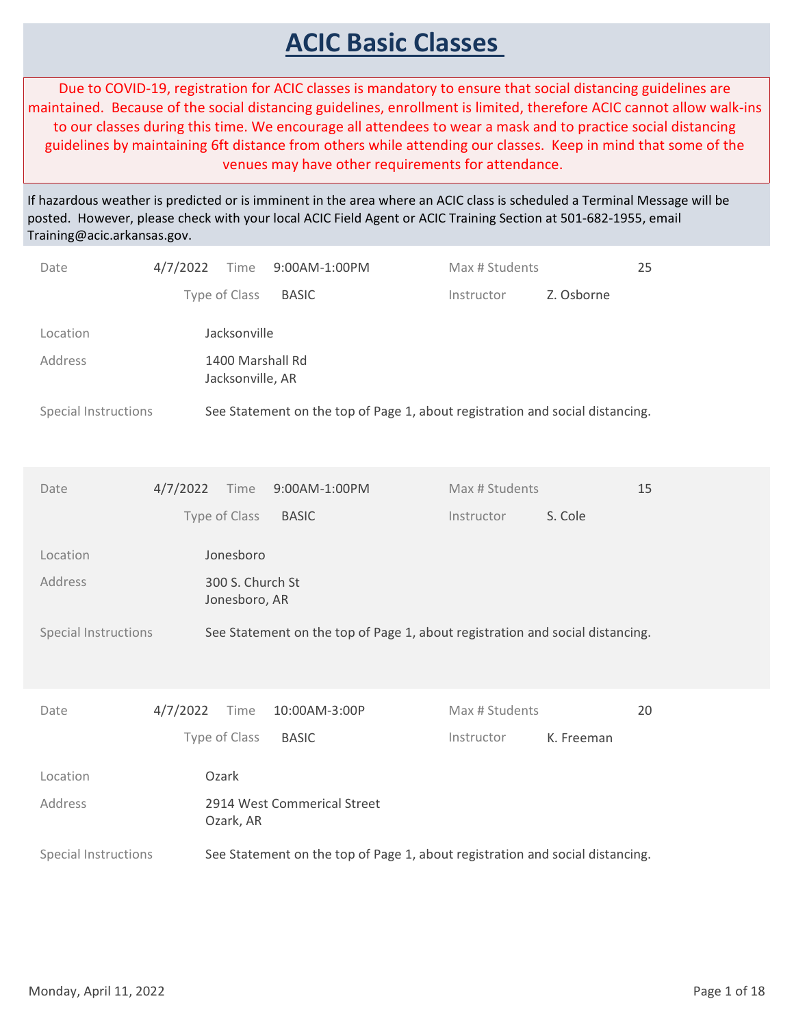## ACIC Basic Classes

Due to COVID-19, registration for ACIC classes is mandatory to ensure that social distancing guidelines are maintained. Because of the social distancing guidelines, enrollment is limited, therefore ACIC cannot allow walk-ins to our classes during this time. We encourage all attendees to wear a mask and to practice social distancing guidelines by maintaining 6ft distance from others while attending our classes. Keep in mind that some of the venues may have other requirements for attendance.

If hazardous weather is predicted or is imminent in the area where an ACIC class is scheduled a Terminal Message will be posted. However, please check with your local ACIC Field Agent or ACIC Training Section at 501-682-1955, email Training@acic.arkansas.gov.

| Date                   | 4/7/2022 | Time                                 |               | 9:00AM-1:00PM               | Max # Students                                                                |            | 25 |              |
|------------------------|----------|--------------------------------------|---------------|-----------------------------|-------------------------------------------------------------------------------|------------|----|--------------|
|                        |          | Type of Class                        | <b>BASIC</b>  |                             | Instructor                                                                    | Z. Osborne |    |              |
| Location               |          | Jacksonville                         |               |                             |                                                                               |            |    |              |
| Address                |          | 1400 Marshall Rd<br>Jacksonville, AR |               |                             |                                                                               |            |    |              |
| Special Instructions   |          |                                      |               |                             | See Statement on the top of Page 1, about registration and social distancing. |            |    |              |
| Date                   | 4/7/2022 | Time                                 | 9:00AM-1:00PM |                             | Max # Students                                                                |            | 15 |              |
|                        |          | Type of Class                        | <b>BASIC</b>  |                             | Instructor                                                                    | S. Cole    |    |              |
| Location               |          | Jonesboro                            |               |                             |                                                                               |            |    |              |
| Address                |          | 300 S. Church St<br>Jonesboro, AR    |               |                             |                                                                               |            |    |              |
| Special Instructions   |          |                                      |               |                             | See Statement on the top of Page 1, about registration and social distancing. |            |    |              |
| Date                   | 4/7/2022 | Time                                 | 10:00AM-3:00P |                             | Max # Students                                                                |            | 20 |              |
|                        |          | Type of Class                        | <b>BASIC</b>  |                             | Instructor                                                                    | K. Freeman |    |              |
| Location               |          | Ozark                                |               |                             |                                                                               |            |    |              |
| Address                |          | Ozark, AR                            |               | 2914 West Commerical Street |                                                                               |            |    |              |
| Special Instructions   |          |                                      |               |                             | See Statement on the top of Page 1, about registration and social distancing. |            |    |              |
|                        |          |                                      |               |                             |                                                                               |            |    |              |
|                        |          |                                      |               |                             |                                                                               |            |    |              |
|                        |          |                                      |               |                             |                                                                               |            |    |              |
| Monday, April 11, 2022 |          |                                      |               |                             |                                                                               |            |    | Page 1 of 18 |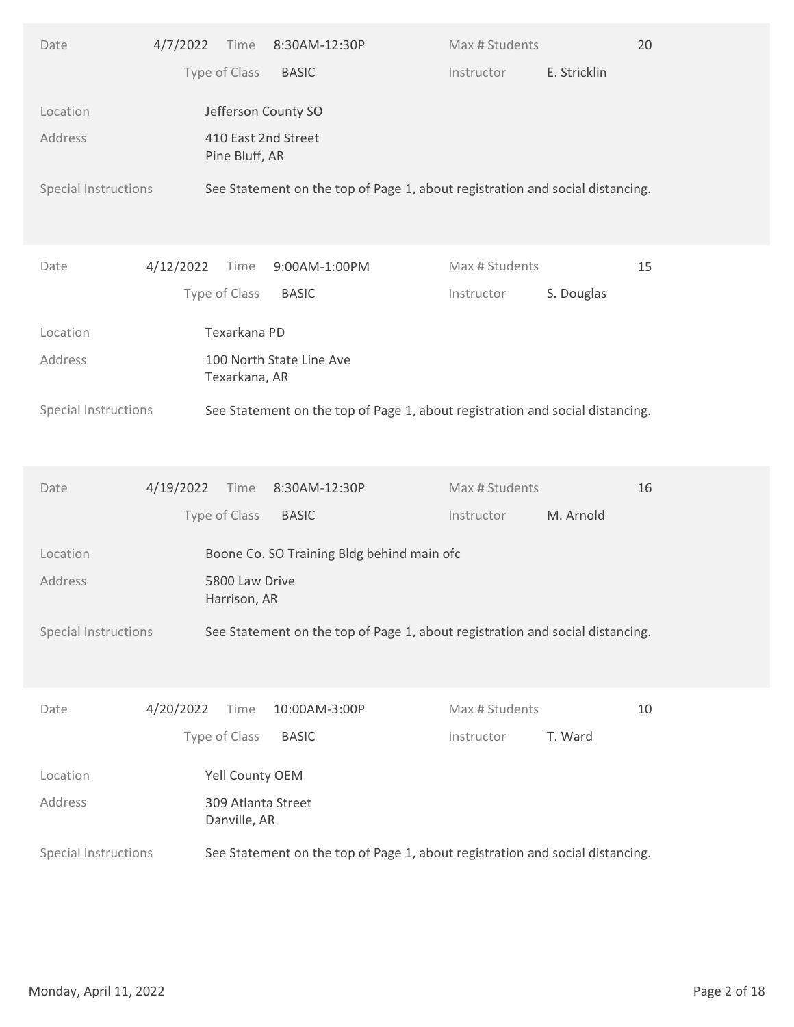| Type of Class<br>E. Stricklin<br><b>BASIC</b><br>Instructor<br>Jefferson County SO<br>Location<br>410 East 2nd Street<br>Address<br>Pine Bluff, AR<br>Special Instructions<br>See Statement on the top of Page 1, about registration and social distancing.<br>Max # Students<br>15<br>4/12/2022<br>Time<br>9:00AM-1:00PM<br>Date<br>Type of Class<br><b>BASIC</b><br>Instructor<br>S. Douglas<br>Texarkana PD<br>Location<br>100 North State Line Ave<br>Address<br>Texarkana, AR<br>Special Instructions<br>See Statement on the top of Page 1, about registration and social distancing.<br>4/19/2022 Time<br>8:30AM-12:30P<br>Max # Students<br>16<br>Date<br>Type of Class<br>M. Arnold<br><b>BASIC</b><br>Instructor<br>Boone Co. SO Training Bldg behind main ofc<br>Location<br>Address<br>5800 Law Drive<br>Harrison, AR<br>Special Instructions<br>See Statement on the top of Page 1, about registration and social distancing.<br>4/20/2022<br>10:00AM-3:00P<br>Max # Students<br>10<br>Time<br>Date<br>Type of Class<br>T. Ward<br><b>BASIC</b><br>Instructor<br>Yell County OEM<br>Location |
|-----------------------------------------------------------------------------------------------------------------------------------------------------------------------------------------------------------------------------------------------------------------------------------------------------------------------------------------------------------------------------------------------------------------------------------------------------------------------------------------------------------------------------------------------------------------------------------------------------------------------------------------------------------------------------------------------------------------------------------------------------------------------------------------------------------------------------------------------------------------------------------------------------------------------------------------------------------------------------------------------------------------------------------------------------------------------------------------------------------|
|                                                                                                                                                                                                                                                                                                                                                                                                                                                                                                                                                                                                                                                                                                                                                                                                                                                                                                                                                                                                                                                                                                           |
|                                                                                                                                                                                                                                                                                                                                                                                                                                                                                                                                                                                                                                                                                                                                                                                                                                                                                                                                                                                                                                                                                                           |
|                                                                                                                                                                                                                                                                                                                                                                                                                                                                                                                                                                                                                                                                                                                                                                                                                                                                                                                                                                                                                                                                                                           |
|                                                                                                                                                                                                                                                                                                                                                                                                                                                                                                                                                                                                                                                                                                                                                                                                                                                                                                                                                                                                                                                                                                           |
|                                                                                                                                                                                                                                                                                                                                                                                                                                                                                                                                                                                                                                                                                                                                                                                                                                                                                                                                                                                                                                                                                                           |
|                                                                                                                                                                                                                                                                                                                                                                                                                                                                                                                                                                                                                                                                                                                                                                                                                                                                                                                                                                                                                                                                                                           |
|                                                                                                                                                                                                                                                                                                                                                                                                                                                                                                                                                                                                                                                                                                                                                                                                                                                                                                                                                                                                                                                                                                           |
|                                                                                                                                                                                                                                                                                                                                                                                                                                                                                                                                                                                                                                                                                                                                                                                                                                                                                                                                                                                                                                                                                                           |
|                                                                                                                                                                                                                                                                                                                                                                                                                                                                                                                                                                                                                                                                                                                                                                                                                                                                                                                                                                                                                                                                                                           |
|                                                                                                                                                                                                                                                                                                                                                                                                                                                                                                                                                                                                                                                                                                                                                                                                                                                                                                                                                                                                                                                                                                           |
|                                                                                                                                                                                                                                                                                                                                                                                                                                                                                                                                                                                                                                                                                                                                                                                                                                                                                                                                                                                                                                                                                                           |
|                                                                                                                                                                                                                                                                                                                                                                                                                                                                                                                                                                                                                                                                                                                                                                                                                                                                                                                                                                                                                                                                                                           |
|                                                                                                                                                                                                                                                                                                                                                                                                                                                                                                                                                                                                                                                                                                                                                                                                                                                                                                                                                                                                                                                                                                           |
|                                                                                                                                                                                                                                                                                                                                                                                                                                                                                                                                                                                                                                                                                                                                                                                                                                                                                                                                                                                                                                                                                                           |
|                                                                                                                                                                                                                                                                                                                                                                                                                                                                                                                                                                                                                                                                                                                                                                                                                                                                                                                                                                                                                                                                                                           |
|                                                                                                                                                                                                                                                                                                                                                                                                                                                                                                                                                                                                                                                                                                                                                                                                                                                                                                                                                                                                                                                                                                           |
|                                                                                                                                                                                                                                                                                                                                                                                                                                                                                                                                                                                                                                                                                                                                                                                                                                                                                                                                                                                                                                                                                                           |
|                                                                                                                                                                                                                                                                                                                                                                                                                                                                                                                                                                                                                                                                                                                                                                                                                                                                                                                                                                                                                                                                                                           |
|                                                                                                                                                                                                                                                                                                                                                                                                                                                                                                                                                                                                                                                                                                                                                                                                                                                                                                                                                                                                                                                                                                           |
|                                                                                                                                                                                                                                                                                                                                                                                                                                                                                                                                                                                                                                                                                                                                                                                                                                                                                                                                                                                                                                                                                                           |
| Address<br>309 Atlanta Street<br>Danville, AR                                                                                                                                                                                                                                                                                                                                                                                                                                                                                                                                                                                                                                                                                                                                                                                                                                                                                                                                                                                                                                                             |
| See Statement on the top of Page 1, about registration and social distancing.<br>Special Instructions                                                                                                                                                                                                                                                                                                                                                                                                                                                                                                                                                                                                                                                                                                                                                                                                                                                                                                                                                                                                     |
|                                                                                                                                                                                                                                                                                                                                                                                                                                                                                                                                                                                                                                                                                                                                                                                                                                                                                                                                                                                                                                                                                                           |
|                                                                                                                                                                                                                                                                                                                                                                                                                                                                                                                                                                                                                                                                                                                                                                                                                                                                                                                                                                                                                                                                                                           |
|                                                                                                                                                                                                                                                                                                                                                                                                                                                                                                                                                                                                                                                                                                                                                                                                                                                                                                                                                                                                                                                                                                           |
| Page 2 of 18<br>Monday, April 11, 2022                                                                                                                                                                                                                                                                                                                                                                                                                                                                                                                                                                                                                                                                                                                                                                                                                                                                                                                                                                                                                                                                    |
|                                                                                                                                                                                                                                                                                                                                                                                                                                                                                                                                                                                                                                                                                                                                                                                                                                                                                                                                                                                                                                                                                                           |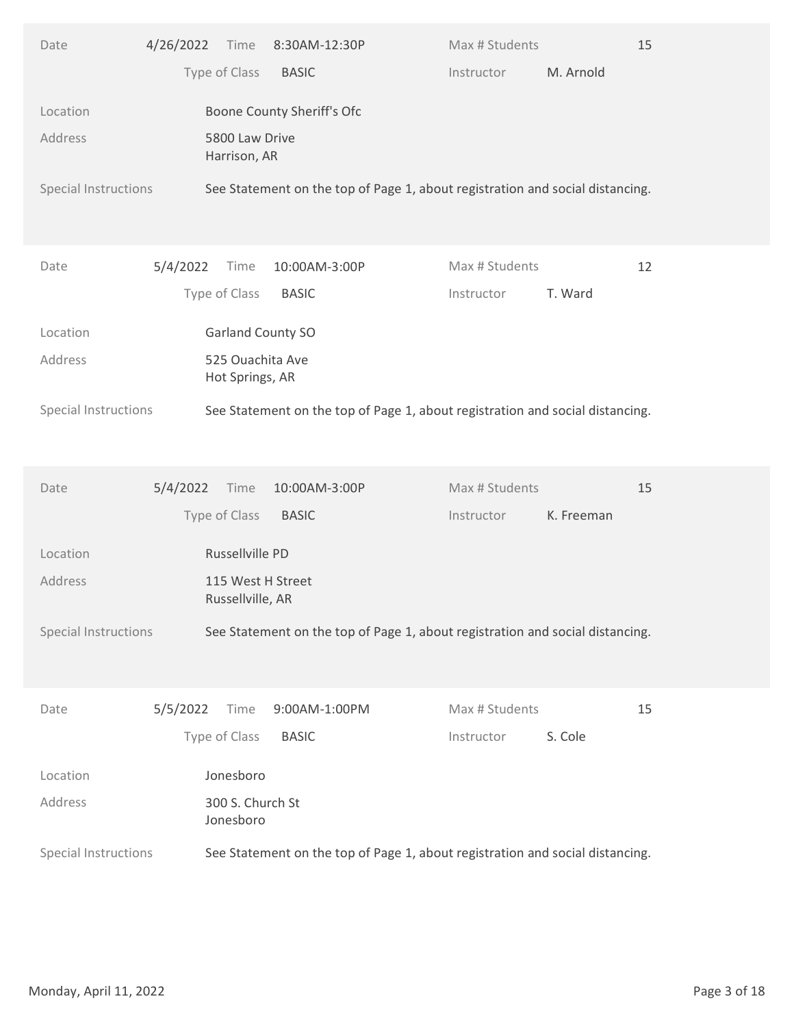| Type of Class<br>M. Arnold<br><b>BASIC</b><br>Instructor<br>Boone County Sheriff's Ofc<br>Location<br>Address<br>5800 Law Drive<br>Harrison, AR<br>Special Instructions<br>See Statement on the top of Page 1, about registration and social distancing.<br>5/4/2022<br>Max # Students<br>12<br>Time<br>10:00AM-3:00P<br>Date<br>Type of Class<br><b>BASIC</b><br>T. Ward<br>Instructor<br>Garland County SO<br>Location<br>525 Ouachita Ave<br>Address<br>Hot Springs, AR<br>Special Instructions<br>See Statement on the top of Page 1, about registration and social distancing.<br>15<br>5/4/2022<br>10:00AM-3:00P<br>Max # Students<br>Time<br>Date<br>Type of Class<br><b>BASIC</b><br>K. Freeman<br>Instructor<br>Russellville PD<br>Location<br>Address<br>115 West H Street<br>Russellville, AR<br>Special Instructions<br>See Statement on the top of Page 1, about registration and social distancing.<br>5/5/2022<br>9:00AM-1:00PM<br>Max # Students<br>15<br>Time<br>Date<br>Type of Class<br>S. Cole<br><b>BASIC</b><br>Instructor<br>Jonesboro<br>Location<br>Address<br>300 S. Church St<br>Jonesboro<br>See Statement on the top of Page 1, about registration and social distancing.<br>Special Instructions<br>Page 3 of 18<br>Monday, April 11, 2022 | Date | 4/26/2022 Time | 8:30AM-12:30P | Max # Students | 15 |  |
|--------------------------------------------------------------------------------------------------------------------------------------------------------------------------------------------------------------------------------------------------------------------------------------------------------------------------------------------------------------------------------------------------------------------------------------------------------------------------------------------------------------------------------------------------------------------------------------------------------------------------------------------------------------------------------------------------------------------------------------------------------------------------------------------------------------------------------------------------------------------------------------------------------------------------------------------------------------------------------------------------------------------------------------------------------------------------------------------------------------------------------------------------------------------------------------------------------------------------------------------------------------------------|------|----------------|---------------|----------------|----|--|
|                                                                                                                                                                                                                                                                                                                                                                                                                                                                                                                                                                                                                                                                                                                                                                                                                                                                                                                                                                                                                                                                                                                                                                                                                                                                          |      |                |               |                |    |  |
|                                                                                                                                                                                                                                                                                                                                                                                                                                                                                                                                                                                                                                                                                                                                                                                                                                                                                                                                                                                                                                                                                                                                                                                                                                                                          |      |                |               |                |    |  |
|                                                                                                                                                                                                                                                                                                                                                                                                                                                                                                                                                                                                                                                                                                                                                                                                                                                                                                                                                                                                                                                                                                                                                                                                                                                                          |      |                |               |                |    |  |
|                                                                                                                                                                                                                                                                                                                                                                                                                                                                                                                                                                                                                                                                                                                                                                                                                                                                                                                                                                                                                                                                                                                                                                                                                                                                          |      |                |               |                |    |  |
|                                                                                                                                                                                                                                                                                                                                                                                                                                                                                                                                                                                                                                                                                                                                                                                                                                                                                                                                                                                                                                                                                                                                                                                                                                                                          |      |                |               |                |    |  |
|                                                                                                                                                                                                                                                                                                                                                                                                                                                                                                                                                                                                                                                                                                                                                                                                                                                                                                                                                                                                                                                                                                                                                                                                                                                                          |      |                |               |                |    |  |
|                                                                                                                                                                                                                                                                                                                                                                                                                                                                                                                                                                                                                                                                                                                                                                                                                                                                                                                                                                                                                                                                                                                                                                                                                                                                          |      |                |               |                |    |  |
|                                                                                                                                                                                                                                                                                                                                                                                                                                                                                                                                                                                                                                                                                                                                                                                                                                                                                                                                                                                                                                                                                                                                                                                                                                                                          |      |                |               |                |    |  |
|                                                                                                                                                                                                                                                                                                                                                                                                                                                                                                                                                                                                                                                                                                                                                                                                                                                                                                                                                                                                                                                                                                                                                                                                                                                                          |      |                |               |                |    |  |
|                                                                                                                                                                                                                                                                                                                                                                                                                                                                                                                                                                                                                                                                                                                                                                                                                                                                                                                                                                                                                                                                                                                                                                                                                                                                          |      |                |               |                |    |  |
|                                                                                                                                                                                                                                                                                                                                                                                                                                                                                                                                                                                                                                                                                                                                                                                                                                                                                                                                                                                                                                                                                                                                                                                                                                                                          |      |                |               |                |    |  |
|                                                                                                                                                                                                                                                                                                                                                                                                                                                                                                                                                                                                                                                                                                                                                                                                                                                                                                                                                                                                                                                                                                                                                                                                                                                                          |      |                |               |                |    |  |
|                                                                                                                                                                                                                                                                                                                                                                                                                                                                                                                                                                                                                                                                                                                                                                                                                                                                                                                                                                                                                                                                                                                                                                                                                                                                          |      |                |               |                |    |  |
|                                                                                                                                                                                                                                                                                                                                                                                                                                                                                                                                                                                                                                                                                                                                                                                                                                                                                                                                                                                                                                                                                                                                                                                                                                                                          |      |                |               |                |    |  |
|                                                                                                                                                                                                                                                                                                                                                                                                                                                                                                                                                                                                                                                                                                                                                                                                                                                                                                                                                                                                                                                                                                                                                                                                                                                                          |      |                |               |                |    |  |
|                                                                                                                                                                                                                                                                                                                                                                                                                                                                                                                                                                                                                                                                                                                                                                                                                                                                                                                                                                                                                                                                                                                                                                                                                                                                          |      |                |               |                |    |  |
|                                                                                                                                                                                                                                                                                                                                                                                                                                                                                                                                                                                                                                                                                                                                                                                                                                                                                                                                                                                                                                                                                                                                                                                                                                                                          |      |                |               |                |    |  |
|                                                                                                                                                                                                                                                                                                                                                                                                                                                                                                                                                                                                                                                                                                                                                                                                                                                                                                                                                                                                                                                                                                                                                                                                                                                                          |      |                |               |                |    |  |
|                                                                                                                                                                                                                                                                                                                                                                                                                                                                                                                                                                                                                                                                                                                                                                                                                                                                                                                                                                                                                                                                                                                                                                                                                                                                          |      |                |               |                |    |  |
|                                                                                                                                                                                                                                                                                                                                                                                                                                                                                                                                                                                                                                                                                                                                                                                                                                                                                                                                                                                                                                                                                                                                                                                                                                                                          |      |                |               |                |    |  |
|                                                                                                                                                                                                                                                                                                                                                                                                                                                                                                                                                                                                                                                                                                                                                                                                                                                                                                                                                                                                                                                                                                                                                                                                                                                                          |      |                |               |                |    |  |
|                                                                                                                                                                                                                                                                                                                                                                                                                                                                                                                                                                                                                                                                                                                                                                                                                                                                                                                                                                                                                                                                                                                                                                                                                                                                          |      |                |               |                |    |  |
|                                                                                                                                                                                                                                                                                                                                                                                                                                                                                                                                                                                                                                                                                                                                                                                                                                                                                                                                                                                                                                                                                                                                                                                                                                                                          |      |                |               |                |    |  |
|                                                                                                                                                                                                                                                                                                                                                                                                                                                                                                                                                                                                                                                                                                                                                                                                                                                                                                                                                                                                                                                                                                                                                                                                                                                                          |      |                |               |                |    |  |
|                                                                                                                                                                                                                                                                                                                                                                                                                                                                                                                                                                                                                                                                                                                                                                                                                                                                                                                                                                                                                                                                                                                                                                                                                                                                          |      |                |               |                |    |  |
|                                                                                                                                                                                                                                                                                                                                                                                                                                                                                                                                                                                                                                                                                                                                                                                                                                                                                                                                                                                                                                                                                                                                                                                                                                                                          |      |                |               |                |    |  |
|                                                                                                                                                                                                                                                                                                                                                                                                                                                                                                                                                                                                                                                                                                                                                                                                                                                                                                                                                                                                                                                                                                                                                                                                                                                                          |      |                |               |                |    |  |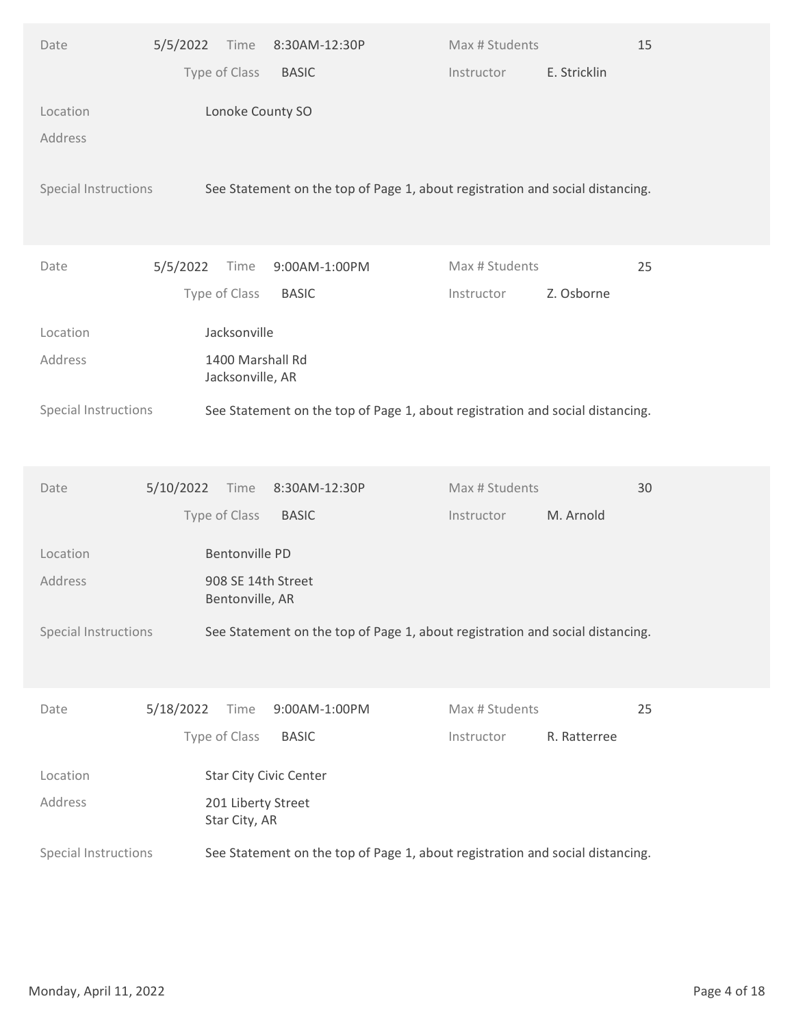| Type of Class<br>E. Stricklin<br><b>BASIC</b><br>Instructor<br>Lonoke County SO<br>Location<br>Address<br>Special Instructions<br>See Statement on the top of Page 1, about registration and social distancing.<br>Max # Students<br>25<br>5/5/2022<br>Time<br>9:00AM-1:00PM<br>Date<br>Type of Class<br><b>BASIC</b><br>Instructor<br>Z. Osborne<br>Jacksonville<br>Location<br>1400 Marshall Rd<br>Address<br>Jacksonville, AR<br>See Statement on the top of Page 1, about registration and social distancing.<br>Special Instructions<br>Max # Students<br>5/10/2022<br>8:30AM-12:30P<br>30<br>Date<br>Time<br>Type of Class<br>M. Arnold<br><b>BASIC</b><br>Instructor<br>Bentonville PD<br>Location<br>Address<br>908 SE 14th Street<br>Bentonville, AR<br>Special Instructions<br>See Statement on the top of Page 1, about registration and social distancing.<br>5/18/2022<br>Max # Students<br>25<br>Time<br>9:00AM-1:00PM<br>Date<br>Type of Class<br>R. Ratterree<br><b>BASIC</b><br>Instructor<br>Star City Civic Center<br>Location<br>Address<br>201 Liberty Street<br>Star City, AR<br>See Statement on the top of Page 1, about registration and social distancing.<br>Special Instructions<br>Page 4 of 18<br>Monday, April 11, 2022 | Date | 5/5/2022 | Time | 8:30AM-12:30P | Max # Students | 15 |  |
|--------------------------------------------------------------------------------------------------------------------------------------------------------------------------------------------------------------------------------------------------------------------------------------------------------------------------------------------------------------------------------------------------------------------------------------------------------------------------------------------------------------------------------------------------------------------------------------------------------------------------------------------------------------------------------------------------------------------------------------------------------------------------------------------------------------------------------------------------------------------------------------------------------------------------------------------------------------------------------------------------------------------------------------------------------------------------------------------------------------------------------------------------------------------------------------------------------------------------------------------------------|------|----------|------|---------------|----------------|----|--|
|                                                                                                                                                                                                                                                                                                                                                                                                                                                                                                                                                                                                                                                                                                                                                                                                                                                                                                                                                                                                                                                                                                                                                                                                                                                        |      |          |      |               |                |    |  |
|                                                                                                                                                                                                                                                                                                                                                                                                                                                                                                                                                                                                                                                                                                                                                                                                                                                                                                                                                                                                                                                                                                                                                                                                                                                        |      |          |      |               |                |    |  |
|                                                                                                                                                                                                                                                                                                                                                                                                                                                                                                                                                                                                                                                                                                                                                                                                                                                                                                                                                                                                                                                                                                                                                                                                                                                        |      |          |      |               |                |    |  |
|                                                                                                                                                                                                                                                                                                                                                                                                                                                                                                                                                                                                                                                                                                                                                                                                                                                                                                                                                                                                                                                                                                                                                                                                                                                        |      |          |      |               |                |    |  |
|                                                                                                                                                                                                                                                                                                                                                                                                                                                                                                                                                                                                                                                                                                                                                                                                                                                                                                                                                                                                                                                                                                                                                                                                                                                        |      |          |      |               |                |    |  |
|                                                                                                                                                                                                                                                                                                                                                                                                                                                                                                                                                                                                                                                                                                                                                                                                                                                                                                                                                                                                                                                                                                                                                                                                                                                        |      |          |      |               |                |    |  |
|                                                                                                                                                                                                                                                                                                                                                                                                                                                                                                                                                                                                                                                                                                                                                                                                                                                                                                                                                                                                                                                                                                                                                                                                                                                        |      |          |      |               |                |    |  |
|                                                                                                                                                                                                                                                                                                                                                                                                                                                                                                                                                                                                                                                                                                                                                                                                                                                                                                                                                                                                                                                                                                                                                                                                                                                        |      |          |      |               |                |    |  |
|                                                                                                                                                                                                                                                                                                                                                                                                                                                                                                                                                                                                                                                                                                                                                                                                                                                                                                                                                                                                                                                                                                                                                                                                                                                        |      |          |      |               |                |    |  |
|                                                                                                                                                                                                                                                                                                                                                                                                                                                                                                                                                                                                                                                                                                                                                                                                                                                                                                                                                                                                                                                                                                                                                                                                                                                        |      |          |      |               |                |    |  |
|                                                                                                                                                                                                                                                                                                                                                                                                                                                                                                                                                                                                                                                                                                                                                                                                                                                                                                                                                                                                                                                                                                                                                                                                                                                        |      |          |      |               |                |    |  |
|                                                                                                                                                                                                                                                                                                                                                                                                                                                                                                                                                                                                                                                                                                                                                                                                                                                                                                                                                                                                                                                                                                                                                                                                                                                        |      |          |      |               |                |    |  |
|                                                                                                                                                                                                                                                                                                                                                                                                                                                                                                                                                                                                                                                                                                                                                                                                                                                                                                                                                                                                                                                                                                                                                                                                                                                        |      |          |      |               |                |    |  |
|                                                                                                                                                                                                                                                                                                                                                                                                                                                                                                                                                                                                                                                                                                                                                                                                                                                                                                                                                                                                                                                                                                                                                                                                                                                        |      |          |      |               |                |    |  |
|                                                                                                                                                                                                                                                                                                                                                                                                                                                                                                                                                                                                                                                                                                                                                                                                                                                                                                                                                                                                                                                                                                                                                                                                                                                        |      |          |      |               |                |    |  |
|                                                                                                                                                                                                                                                                                                                                                                                                                                                                                                                                                                                                                                                                                                                                                                                                                                                                                                                                                                                                                                                                                                                                                                                                                                                        |      |          |      |               |                |    |  |
|                                                                                                                                                                                                                                                                                                                                                                                                                                                                                                                                                                                                                                                                                                                                                                                                                                                                                                                                                                                                                                                                                                                                                                                                                                                        |      |          |      |               |                |    |  |
|                                                                                                                                                                                                                                                                                                                                                                                                                                                                                                                                                                                                                                                                                                                                                                                                                                                                                                                                                                                                                                                                                                                                                                                                                                                        |      |          |      |               |                |    |  |
|                                                                                                                                                                                                                                                                                                                                                                                                                                                                                                                                                                                                                                                                                                                                                                                                                                                                                                                                                                                                                                                                                                                                                                                                                                                        |      |          |      |               |                |    |  |
|                                                                                                                                                                                                                                                                                                                                                                                                                                                                                                                                                                                                                                                                                                                                                                                                                                                                                                                                                                                                                                                                                                                                                                                                                                                        |      |          |      |               |                |    |  |
|                                                                                                                                                                                                                                                                                                                                                                                                                                                                                                                                                                                                                                                                                                                                                                                                                                                                                                                                                                                                                                                                                                                                                                                                                                                        |      |          |      |               |                |    |  |
|                                                                                                                                                                                                                                                                                                                                                                                                                                                                                                                                                                                                                                                                                                                                                                                                                                                                                                                                                                                                                                                                                                                                                                                                                                                        |      |          |      |               |                |    |  |
|                                                                                                                                                                                                                                                                                                                                                                                                                                                                                                                                                                                                                                                                                                                                                                                                                                                                                                                                                                                                                                                                                                                                                                                                                                                        |      |          |      |               |                |    |  |
|                                                                                                                                                                                                                                                                                                                                                                                                                                                                                                                                                                                                                                                                                                                                                                                                                                                                                                                                                                                                                                                                                                                                                                                                                                                        |      |          |      |               |                |    |  |
|                                                                                                                                                                                                                                                                                                                                                                                                                                                                                                                                                                                                                                                                                                                                                                                                                                                                                                                                                                                                                                                                                                                                                                                                                                                        |      |          |      |               |                |    |  |
|                                                                                                                                                                                                                                                                                                                                                                                                                                                                                                                                                                                                                                                                                                                                                                                                                                                                                                                                                                                                                                                                                                                                                                                                                                                        |      |          |      |               |                |    |  |
|                                                                                                                                                                                                                                                                                                                                                                                                                                                                                                                                                                                                                                                                                                                                                                                                                                                                                                                                                                                                                                                                                                                                                                                                                                                        |      |          |      |               |                |    |  |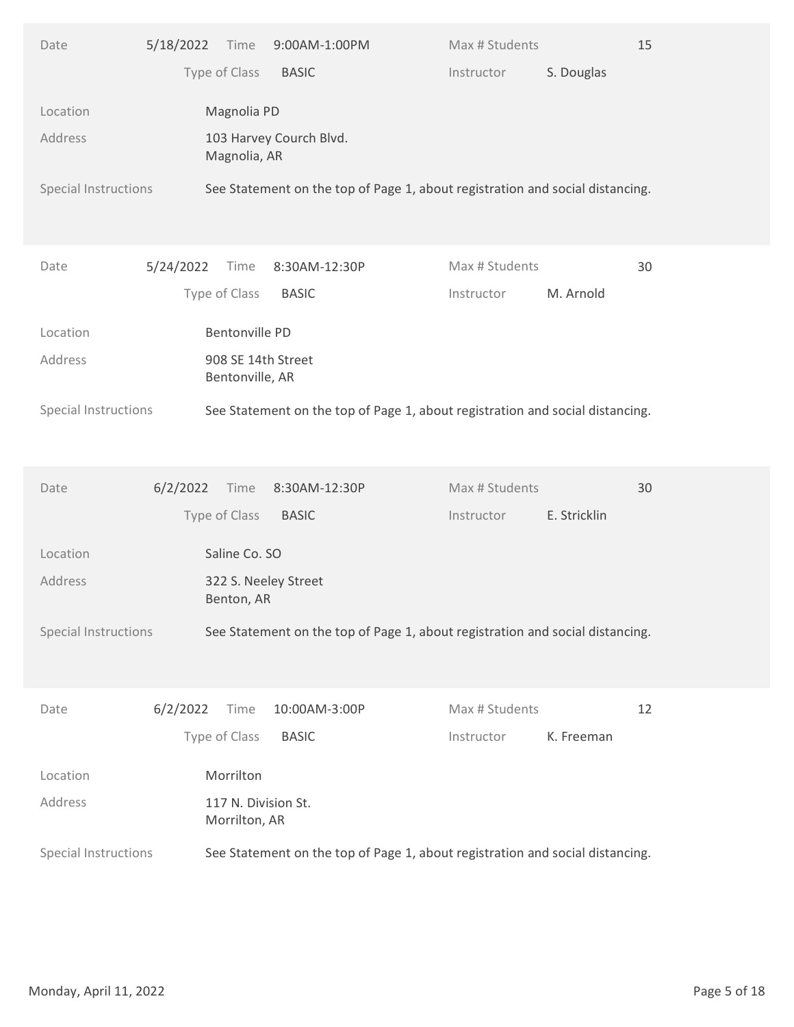| Type of Class<br>S. Douglas<br><b>BASIC</b><br>Instructor<br>Magnolia PD<br>Location<br>Address<br>103 Harvey Courch Blvd.<br>Magnolia, AR<br>Special Instructions<br>See Statement on the top of Page 1, about registration and social distancing.<br>Max # Students<br>5/24/2022<br>Time<br>8:30AM-12:30P<br>30<br>Date<br>Type of Class<br><b>BASIC</b><br>M. Arnold<br>Instructor<br>Bentonville PD<br>Location<br>Address<br>908 SE 14th Street<br>Bentonville, AR<br>See Statement on the top of Page 1, about registration and social distancing.<br>Special Instructions<br>Max # Students<br>6/2/2022<br>8:30AM-12:30P<br>30<br>Date<br>Time<br>Type of Class<br>E. Stricklin<br><b>BASIC</b><br>Instructor<br>Saline Co. SO<br>Location<br>Address<br>322 S. Neeley Street<br>Benton, AR<br>Special Instructions<br>See Statement on the top of Page 1, about registration and social distancing.<br>6/2/2022<br>Max # Students<br>12<br>Time<br>10:00AM-3:00P<br>Date |
|----------------------------------------------------------------------------------------------------------------------------------------------------------------------------------------------------------------------------------------------------------------------------------------------------------------------------------------------------------------------------------------------------------------------------------------------------------------------------------------------------------------------------------------------------------------------------------------------------------------------------------------------------------------------------------------------------------------------------------------------------------------------------------------------------------------------------------------------------------------------------------------------------------------------------------------------------------------------------------|
|                                                                                                                                                                                                                                                                                                                                                                                                                                                                                                                                                                                                                                                                                                                                                                                                                                                                                                                                                                                  |
|                                                                                                                                                                                                                                                                                                                                                                                                                                                                                                                                                                                                                                                                                                                                                                                                                                                                                                                                                                                  |
|                                                                                                                                                                                                                                                                                                                                                                                                                                                                                                                                                                                                                                                                                                                                                                                                                                                                                                                                                                                  |
|                                                                                                                                                                                                                                                                                                                                                                                                                                                                                                                                                                                                                                                                                                                                                                                                                                                                                                                                                                                  |
|                                                                                                                                                                                                                                                                                                                                                                                                                                                                                                                                                                                                                                                                                                                                                                                                                                                                                                                                                                                  |
|                                                                                                                                                                                                                                                                                                                                                                                                                                                                                                                                                                                                                                                                                                                                                                                                                                                                                                                                                                                  |
|                                                                                                                                                                                                                                                                                                                                                                                                                                                                                                                                                                                                                                                                                                                                                                                                                                                                                                                                                                                  |
|                                                                                                                                                                                                                                                                                                                                                                                                                                                                                                                                                                                                                                                                                                                                                                                                                                                                                                                                                                                  |
|                                                                                                                                                                                                                                                                                                                                                                                                                                                                                                                                                                                                                                                                                                                                                                                                                                                                                                                                                                                  |
|                                                                                                                                                                                                                                                                                                                                                                                                                                                                                                                                                                                                                                                                                                                                                                                                                                                                                                                                                                                  |
|                                                                                                                                                                                                                                                                                                                                                                                                                                                                                                                                                                                                                                                                                                                                                                                                                                                                                                                                                                                  |
|                                                                                                                                                                                                                                                                                                                                                                                                                                                                                                                                                                                                                                                                                                                                                                                                                                                                                                                                                                                  |
|                                                                                                                                                                                                                                                                                                                                                                                                                                                                                                                                                                                                                                                                                                                                                                                                                                                                                                                                                                                  |
|                                                                                                                                                                                                                                                                                                                                                                                                                                                                                                                                                                                                                                                                                                                                                                                                                                                                                                                                                                                  |
|                                                                                                                                                                                                                                                                                                                                                                                                                                                                                                                                                                                                                                                                                                                                                                                                                                                                                                                                                                                  |
|                                                                                                                                                                                                                                                                                                                                                                                                                                                                                                                                                                                                                                                                                                                                                                                                                                                                                                                                                                                  |
|                                                                                                                                                                                                                                                                                                                                                                                                                                                                                                                                                                                                                                                                                                                                                                                                                                                                                                                                                                                  |
|                                                                                                                                                                                                                                                                                                                                                                                                                                                                                                                                                                                                                                                                                                                                                                                                                                                                                                                                                                                  |
| Type of Class<br>K. Freeman<br><b>BASIC</b><br>Instructor                                                                                                                                                                                                                                                                                                                                                                                                                                                                                                                                                                                                                                                                                                                                                                                                                                                                                                                        |
| Morrilton<br>Location                                                                                                                                                                                                                                                                                                                                                                                                                                                                                                                                                                                                                                                                                                                                                                                                                                                                                                                                                            |
| Address<br>117 N. Division St.<br>Morrilton, AR                                                                                                                                                                                                                                                                                                                                                                                                                                                                                                                                                                                                                                                                                                                                                                                                                                                                                                                                  |
| Special Instructions<br>See Statement on the top of Page 1, about registration and social distancing.                                                                                                                                                                                                                                                                                                                                                                                                                                                                                                                                                                                                                                                                                                                                                                                                                                                                            |
|                                                                                                                                                                                                                                                                                                                                                                                                                                                                                                                                                                                                                                                                                                                                                                                                                                                                                                                                                                                  |
|                                                                                                                                                                                                                                                                                                                                                                                                                                                                                                                                                                                                                                                                                                                                                                                                                                                                                                                                                                                  |
|                                                                                                                                                                                                                                                                                                                                                                                                                                                                                                                                                                                                                                                                                                                                                                                                                                                                                                                                                                                  |
| Page 5 of 18<br>Monday, April 11, 2022                                                                                                                                                                                                                                                                                                                                                                                                                                                                                                                                                                                                                                                                                                                                                                                                                                                                                                                                           |
|                                                                                                                                                                                                                                                                                                                                                                                                                                                                                                                                                                                                                                                                                                                                                                                                                                                                                                                                                                                  |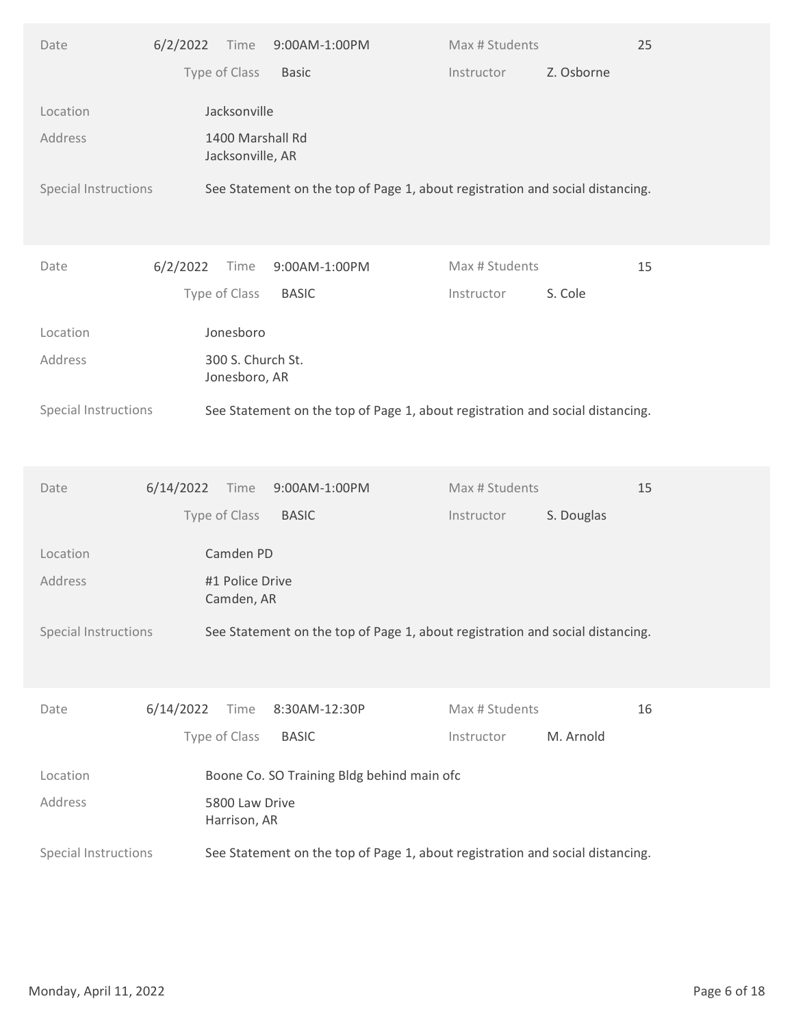| Type of Class<br>Z. Osborne<br><b>Basic</b><br>Instructor<br>Jacksonville<br>Location<br>1400 Marshall Rd<br>Address<br>Jacksonville, AR<br>Special Instructions<br>See Statement on the top of Page 1, about registration and social distancing.<br>Max # Students<br>15<br>6/2/2022<br>Time<br>9:00AM-1:00PM<br>Date<br>Type of Class<br><b>BASIC</b><br>S. Cole<br>Instructor<br>Jonesboro<br>Location<br>300 S. Church St.<br>Address<br>Jonesboro, AR<br>See Statement on the top of Page 1, about registration and social distancing.<br>Special Instructions<br>Max # Students<br>15<br>6/14/2022<br>9:00AM-1:00PM<br>Date<br>Time<br>Type of Class<br><b>BASIC</b><br>S. Douglas<br>Instructor<br>Camden PD<br>Location<br>Address<br>#1 Police Drive<br>Camden, AR<br>Special Instructions<br>See Statement on the top of Page 1, about registration and social distancing.<br>6/14/2022<br>Max # Students<br>16<br>Time<br>8:30AM-12:30P<br>Date<br>Type of Class<br>M. Arnold<br><b>BASIC</b><br>Instructor<br>Boone Co. SO Training Bldg behind main ofc<br>Location |
|----------------------------------------------------------------------------------------------------------------------------------------------------------------------------------------------------------------------------------------------------------------------------------------------------------------------------------------------------------------------------------------------------------------------------------------------------------------------------------------------------------------------------------------------------------------------------------------------------------------------------------------------------------------------------------------------------------------------------------------------------------------------------------------------------------------------------------------------------------------------------------------------------------------------------------------------------------------------------------------------------------------------------------------------------------------------------------|
|                                                                                                                                                                                                                                                                                                                                                                                                                                                                                                                                                                                                                                                                                                                                                                                                                                                                                                                                                                                                                                                                                  |
|                                                                                                                                                                                                                                                                                                                                                                                                                                                                                                                                                                                                                                                                                                                                                                                                                                                                                                                                                                                                                                                                                  |
|                                                                                                                                                                                                                                                                                                                                                                                                                                                                                                                                                                                                                                                                                                                                                                                                                                                                                                                                                                                                                                                                                  |
|                                                                                                                                                                                                                                                                                                                                                                                                                                                                                                                                                                                                                                                                                                                                                                                                                                                                                                                                                                                                                                                                                  |
|                                                                                                                                                                                                                                                                                                                                                                                                                                                                                                                                                                                                                                                                                                                                                                                                                                                                                                                                                                                                                                                                                  |
|                                                                                                                                                                                                                                                                                                                                                                                                                                                                                                                                                                                                                                                                                                                                                                                                                                                                                                                                                                                                                                                                                  |
|                                                                                                                                                                                                                                                                                                                                                                                                                                                                                                                                                                                                                                                                                                                                                                                                                                                                                                                                                                                                                                                                                  |
|                                                                                                                                                                                                                                                                                                                                                                                                                                                                                                                                                                                                                                                                                                                                                                                                                                                                                                                                                                                                                                                                                  |
|                                                                                                                                                                                                                                                                                                                                                                                                                                                                                                                                                                                                                                                                                                                                                                                                                                                                                                                                                                                                                                                                                  |
|                                                                                                                                                                                                                                                                                                                                                                                                                                                                                                                                                                                                                                                                                                                                                                                                                                                                                                                                                                                                                                                                                  |
|                                                                                                                                                                                                                                                                                                                                                                                                                                                                                                                                                                                                                                                                                                                                                                                                                                                                                                                                                                                                                                                                                  |
|                                                                                                                                                                                                                                                                                                                                                                                                                                                                                                                                                                                                                                                                                                                                                                                                                                                                                                                                                                                                                                                                                  |
|                                                                                                                                                                                                                                                                                                                                                                                                                                                                                                                                                                                                                                                                                                                                                                                                                                                                                                                                                                                                                                                                                  |
|                                                                                                                                                                                                                                                                                                                                                                                                                                                                                                                                                                                                                                                                                                                                                                                                                                                                                                                                                                                                                                                                                  |
|                                                                                                                                                                                                                                                                                                                                                                                                                                                                                                                                                                                                                                                                                                                                                                                                                                                                                                                                                                                                                                                                                  |
|                                                                                                                                                                                                                                                                                                                                                                                                                                                                                                                                                                                                                                                                                                                                                                                                                                                                                                                                                                                                                                                                                  |
|                                                                                                                                                                                                                                                                                                                                                                                                                                                                                                                                                                                                                                                                                                                                                                                                                                                                                                                                                                                                                                                                                  |
|                                                                                                                                                                                                                                                                                                                                                                                                                                                                                                                                                                                                                                                                                                                                                                                                                                                                                                                                                                                                                                                                                  |
|                                                                                                                                                                                                                                                                                                                                                                                                                                                                                                                                                                                                                                                                                                                                                                                                                                                                                                                                                                                                                                                                                  |
|                                                                                                                                                                                                                                                                                                                                                                                                                                                                                                                                                                                                                                                                                                                                                                                                                                                                                                                                                                                                                                                                                  |
| 5800 Law Drive<br>Address<br>Harrison, AR                                                                                                                                                                                                                                                                                                                                                                                                                                                                                                                                                                                                                                                                                                                                                                                                                                                                                                                                                                                                                                        |
| Special Instructions<br>See Statement on the top of Page 1, about registration and social distancing.                                                                                                                                                                                                                                                                                                                                                                                                                                                                                                                                                                                                                                                                                                                                                                                                                                                                                                                                                                            |
|                                                                                                                                                                                                                                                                                                                                                                                                                                                                                                                                                                                                                                                                                                                                                                                                                                                                                                                                                                                                                                                                                  |
|                                                                                                                                                                                                                                                                                                                                                                                                                                                                                                                                                                                                                                                                                                                                                                                                                                                                                                                                                                                                                                                                                  |
| Page 6 of 18<br>Monday, April 11, 2022                                                                                                                                                                                                                                                                                                                                                                                                                                                                                                                                                                                                                                                                                                                                                                                                                                                                                                                                                                                                                                           |
|                                                                                                                                                                                                                                                                                                                                                                                                                                                                                                                                                                                                                                                                                                                                                                                                                                                                                                                                                                                                                                                                                  |
|                                                                                                                                                                                                                                                                                                                                                                                                                                                                                                                                                                                                                                                                                                                                                                                                                                                                                                                                                                                                                                                                                  |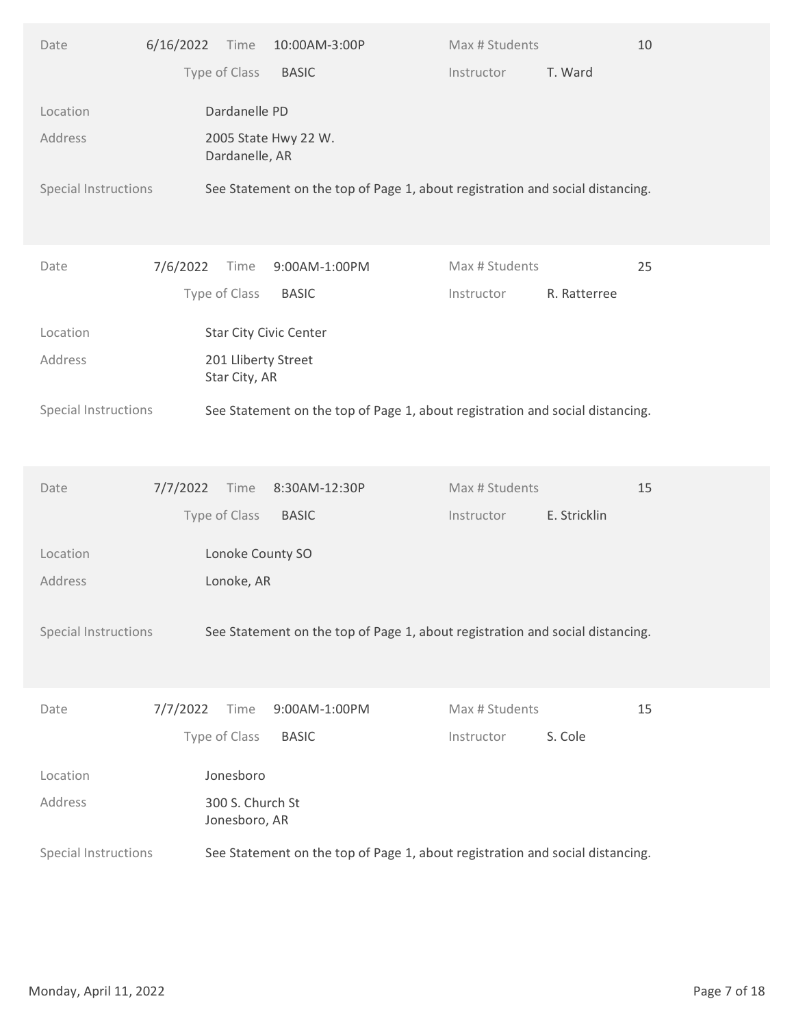| Type of Class<br>T. Ward<br><b>BASIC</b><br>Instructor<br>Dardanelle PD<br>Location<br>Address<br>2005 State Hwy 22 W.<br>Dardanelle, AR<br>Special Instructions<br>See Statement on the top of Page 1, about registration and social distancing.<br>7/6/2022<br>Max # Students<br>25<br>Date<br>Time<br>9:00AM-1:00PM<br>Type of Class<br><b>BASIC</b><br>R. Ratterree<br>Instructor<br>Star City Civic Center<br>Location<br>201 Lliberty Street<br>Address<br>Star City, AR<br>See Statement on the top of Page 1, about registration and social distancing.<br>Special Instructions<br>Max # Students<br>15<br>7/7/2022<br>8:30AM-12:30P<br>Date<br>Time<br>Type of Class<br>E. Stricklin<br><b>BASIC</b><br>Instructor<br>Location<br>Lonoke County SO<br>Address<br>Lonoke, AR<br>Special Instructions<br>See Statement on the top of Page 1, about registration and social distancing.<br>7/7/2022<br>9:00AM-1:00PM<br>Max # Students<br>15<br>Time<br>Date<br>Type of Class<br>S. Cole<br><b>BASIC</b><br>Instructor<br>Jonesboro<br>Location<br>Address<br>300 S. Church St<br>Jonesboro, AR<br>See Statement on the top of Page 1, about registration and social distancing.<br>Special Instructions<br>Page 7 of 18<br>Monday, April 11, 2022 | Date | 6/16/2022 Time<br>10:00AM-3:00P | Max # Students<br>10 |  |
|----------------------------------------------------------------------------------------------------------------------------------------------------------------------------------------------------------------------------------------------------------------------------------------------------------------------------------------------------------------------------------------------------------------------------------------------------------------------------------------------------------------------------------------------------------------------------------------------------------------------------------------------------------------------------------------------------------------------------------------------------------------------------------------------------------------------------------------------------------------------------------------------------------------------------------------------------------------------------------------------------------------------------------------------------------------------------------------------------------------------------------------------------------------------------------------------------------------------------------------------------------|------|---------------------------------|----------------------|--|
|                                                                                                                                                                                                                                                                                                                                                                                                                                                                                                                                                                                                                                                                                                                                                                                                                                                                                                                                                                                                                                                                                                                                                                                                                                                          |      |                                 |                      |  |
|                                                                                                                                                                                                                                                                                                                                                                                                                                                                                                                                                                                                                                                                                                                                                                                                                                                                                                                                                                                                                                                                                                                                                                                                                                                          |      |                                 |                      |  |
|                                                                                                                                                                                                                                                                                                                                                                                                                                                                                                                                                                                                                                                                                                                                                                                                                                                                                                                                                                                                                                                                                                                                                                                                                                                          |      |                                 |                      |  |
|                                                                                                                                                                                                                                                                                                                                                                                                                                                                                                                                                                                                                                                                                                                                                                                                                                                                                                                                                                                                                                                                                                                                                                                                                                                          |      |                                 |                      |  |
|                                                                                                                                                                                                                                                                                                                                                                                                                                                                                                                                                                                                                                                                                                                                                                                                                                                                                                                                                                                                                                                                                                                                                                                                                                                          |      |                                 |                      |  |
|                                                                                                                                                                                                                                                                                                                                                                                                                                                                                                                                                                                                                                                                                                                                                                                                                                                                                                                                                                                                                                                                                                                                                                                                                                                          |      |                                 |                      |  |
|                                                                                                                                                                                                                                                                                                                                                                                                                                                                                                                                                                                                                                                                                                                                                                                                                                                                                                                                                                                                                                                                                                                                                                                                                                                          |      |                                 |                      |  |
|                                                                                                                                                                                                                                                                                                                                                                                                                                                                                                                                                                                                                                                                                                                                                                                                                                                                                                                                                                                                                                                                                                                                                                                                                                                          |      |                                 |                      |  |
|                                                                                                                                                                                                                                                                                                                                                                                                                                                                                                                                                                                                                                                                                                                                                                                                                                                                                                                                                                                                                                                                                                                                                                                                                                                          |      |                                 |                      |  |
|                                                                                                                                                                                                                                                                                                                                                                                                                                                                                                                                                                                                                                                                                                                                                                                                                                                                                                                                                                                                                                                                                                                                                                                                                                                          |      |                                 |                      |  |
|                                                                                                                                                                                                                                                                                                                                                                                                                                                                                                                                                                                                                                                                                                                                                                                                                                                                                                                                                                                                                                                                                                                                                                                                                                                          |      |                                 |                      |  |
|                                                                                                                                                                                                                                                                                                                                                                                                                                                                                                                                                                                                                                                                                                                                                                                                                                                                                                                                                                                                                                                                                                                                                                                                                                                          |      |                                 |                      |  |
|                                                                                                                                                                                                                                                                                                                                                                                                                                                                                                                                                                                                                                                                                                                                                                                                                                                                                                                                                                                                                                                                                                                                                                                                                                                          |      |                                 |                      |  |
|                                                                                                                                                                                                                                                                                                                                                                                                                                                                                                                                                                                                                                                                                                                                                                                                                                                                                                                                                                                                                                                                                                                                                                                                                                                          |      |                                 |                      |  |
|                                                                                                                                                                                                                                                                                                                                                                                                                                                                                                                                                                                                                                                                                                                                                                                                                                                                                                                                                                                                                                                                                                                                                                                                                                                          |      |                                 |                      |  |
|                                                                                                                                                                                                                                                                                                                                                                                                                                                                                                                                                                                                                                                                                                                                                                                                                                                                                                                                                                                                                                                                                                                                                                                                                                                          |      |                                 |                      |  |
|                                                                                                                                                                                                                                                                                                                                                                                                                                                                                                                                                                                                                                                                                                                                                                                                                                                                                                                                                                                                                                                                                                                                                                                                                                                          |      |                                 |                      |  |
|                                                                                                                                                                                                                                                                                                                                                                                                                                                                                                                                                                                                                                                                                                                                                                                                                                                                                                                                                                                                                                                                                                                                                                                                                                                          |      |                                 |                      |  |
|                                                                                                                                                                                                                                                                                                                                                                                                                                                                                                                                                                                                                                                                                                                                                                                                                                                                                                                                                                                                                                                                                                                                                                                                                                                          |      |                                 |                      |  |
|                                                                                                                                                                                                                                                                                                                                                                                                                                                                                                                                                                                                                                                                                                                                                                                                                                                                                                                                                                                                                                                                                                                                                                                                                                                          |      |                                 |                      |  |
|                                                                                                                                                                                                                                                                                                                                                                                                                                                                                                                                                                                                                                                                                                                                                                                                                                                                                                                                                                                                                                                                                                                                                                                                                                                          |      |                                 |                      |  |
|                                                                                                                                                                                                                                                                                                                                                                                                                                                                                                                                                                                                                                                                                                                                                                                                                                                                                                                                                                                                                                                                                                                                                                                                                                                          |      |                                 |                      |  |
|                                                                                                                                                                                                                                                                                                                                                                                                                                                                                                                                                                                                                                                                                                                                                                                                                                                                                                                                                                                                                                                                                                                                                                                                                                                          |      |                                 |                      |  |
|                                                                                                                                                                                                                                                                                                                                                                                                                                                                                                                                                                                                                                                                                                                                                                                                                                                                                                                                                                                                                                                                                                                                                                                                                                                          |      |                                 |                      |  |
|                                                                                                                                                                                                                                                                                                                                                                                                                                                                                                                                                                                                                                                                                                                                                                                                                                                                                                                                                                                                                                                                                                                                                                                                                                                          |      |                                 |                      |  |
|                                                                                                                                                                                                                                                                                                                                                                                                                                                                                                                                                                                                                                                                                                                                                                                                                                                                                                                                                                                                                                                                                                                                                                                                                                                          |      |                                 |                      |  |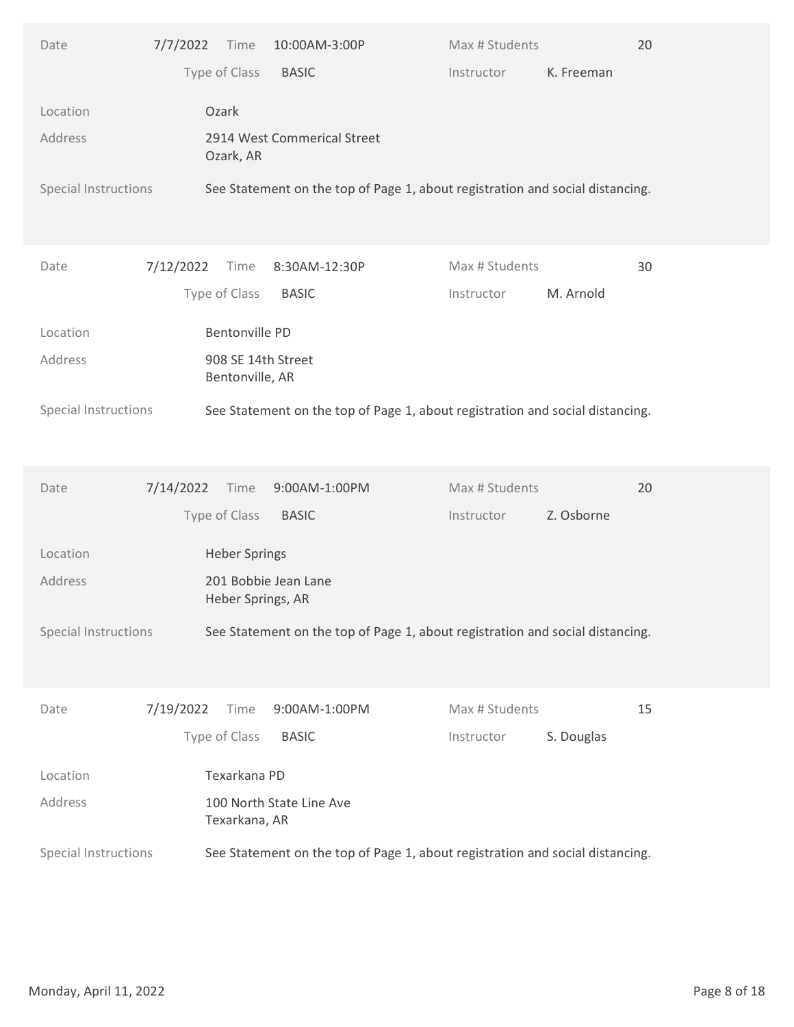| Type of Class<br>K. Freeman<br><b>BASIC</b><br>Instructor<br>Ozark<br>Location<br>2914 West Commerical Street<br>Address<br>Ozark, AR<br>Special Instructions<br>See Statement on the top of Page 1, about registration and social distancing.<br>7/12/2022<br>Max # Students<br>Time<br>8:30AM-12:30P<br>30<br>Date<br>Type of Class<br><b>BASIC</b><br>M. Arnold<br>Instructor<br><b>Bentonville PD</b><br>Location<br>Address<br>908 SE 14th Street<br>Bentonville, AR<br>See Statement on the top of Page 1, about registration and social distancing.<br>Special Instructions<br>7/14/2022<br>9:00AM-1:00PM<br>Max # Students<br>20<br>Date<br>Time<br>Type of Class<br>Z. Osborne<br><b>BASIC</b><br>Instructor<br>Location<br><b>Heber Springs</b><br>Address<br>201 Bobbie Jean Lane<br>Heber Springs, AR<br>Special Instructions<br>See Statement on the top of Page 1, about registration and social distancing.<br>15<br>7/19/2022<br>9:00AM-1:00PM<br>Max # Students<br>Time<br>Date<br>Type of Class<br>S. Douglas<br><b>BASIC</b><br>Instructor<br>Texarkana PD<br>Location<br>Address<br>100 North State Line Ave<br>Texarkana, AR<br>See Statement on the top of Page 1, about registration and social distancing.<br>Special Instructions<br>Page 8 of 18<br>Monday, April 11, 2022 | Date | 7/7/2022 Time | 10:00AM-3:00P | Max # Students | 20 |  |
|------------------------------------------------------------------------------------------------------------------------------------------------------------------------------------------------------------------------------------------------------------------------------------------------------------------------------------------------------------------------------------------------------------------------------------------------------------------------------------------------------------------------------------------------------------------------------------------------------------------------------------------------------------------------------------------------------------------------------------------------------------------------------------------------------------------------------------------------------------------------------------------------------------------------------------------------------------------------------------------------------------------------------------------------------------------------------------------------------------------------------------------------------------------------------------------------------------------------------------------------------------------------------------------------------|------|---------------|---------------|----------------|----|--|
|                                                                                                                                                                                                                                                                                                                                                                                                                                                                                                                                                                                                                                                                                                                                                                                                                                                                                                                                                                                                                                                                                                                                                                                                                                                                                                      |      |               |               |                |    |  |
|                                                                                                                                                                                                                                                                                                                                                                                                                                                                                                                                                                                                                                                                                                                                                                                                                                                                                                                                                                                                                                                                                                                                                                                                                                                                                                      |      |               |               |                |    |  |
|                                                                                                                                                                                                                                                                                                                                                                                                                                                                                                                                                                                                                                                                                                                                                                                                                                                                                                                                                                                                                                                                                                                                                                                                                                                                                                      |      |               |               |                |    |  |
|                                                                                                                                                                                                                                                                                                                                                                                                                                                                                                                                                                                                                                                                                                                                                                                                                                                                                                                                                                                                                                                                                                                                                                                                                                                                                                      |      |               |               |                |    |  |
|                                                                                                                                                                                                                                                                                                                                                                                                                                                                                                                                                                                                                                                                                                                                                                                                                                                                                                                                                                                                                                                                                                                                                                                                                                                                                                      |      |               |               |                |    |  |
|                                                                                                                                                                                                                                                                                                                                                                                                                                                                                                                                                                                                                                                                                                                                                                                                                                                                                                                                                                                                                                                                                                                                                                                                                                                                                                      |      |               |               |                |    |  |
|                                                                                                                                                                                                                                                                                                                                                                                                                                                                                                                                                                                                                                                                                                                                                                                                                                                                                                                                                                                                                                                                                                                                                                                                                                                                                                      |      |               |               |                |    |  |
|                                                                                                                                                                                                                                                                                                                                                                                                                                                                                                                                                                                                                                                                                                                                                                                                                                                                                                                                                                                                                                                                                                                                                                                                                                                                                                      |      |               |               |                |    |  |
|                                                                                                                                                                                                                                                                                                                                                                                                                                                                                                                                                                                                                                                                                                                                                                                                                                                                                                                                                                                                                                                                                                                                                                                                                                                                                                      |      |               |               |                |    |  |
|                                                                                                                                                                                                                                                                                                                                                                                                                                                                                                                                                                                                                                                                                                                                                                                                                                                                                                                                                                                                                                                                                                                                                                                                                                                                                                      |      |               |               |                |    |  |
|                                                                                                                                                                                                                                                                                                                                                                                                                                                                                                                                                                                                                                                                                                                                                                                                                                                                                                                                                                                                                                                                                                                                                                                                                                                                                                      |      |               |               |                |    |  |
|                                                                                                                                                                                                                                                                                                                                                                                                                                                                                                                                                                                                                                                                                                                                                                                                                                                                                                                                                                                                                                                                                                                                                                                                                                                                                                      |      |               |               |                |    |  |
|                                                                                                                                                                                                                                                                                                                                                                                                                                                                                                                                                                                                                                                                                                                                                                                                                                                                                                                                                                                                                                                                                                                                                                                                                                                                                                      |      |               |               |                |    |  |
|                                                                                                                                                                                                                                                                                                                                                                                                                                                                                                                                                                                                                                                                                                                                                                                                                                                                                                                                                                                                                                                                                                                                                                                                                                                                                                      |      |               |               |                |    |  |
|                                                                                                                                                                                                                                                                                                                                                                                                                                                                                                                                                                                                                                                                                                                                                                                                                                                                                                                                                                                                                                                                                                                                                                                                                                                                                                      |      |               |               |                |    |  |
|                                                                                                                                                                                                                                                                                                                                                                                                                                                                                                                                                                                                                                                                                                                                                                                                                                                                                                                                                                                                                                                                                                                                                                                                                                                                                                      |      |               |               |                |    |  |
|                                                                                                                                                                                                                                                                                                                                                                                                                                                                                                                                                                                                                                                                                                                                                                                                                                                                                                                                                                                                                                                                                                                                                                                                                                                                                                      |      |               |               |                |    |  |
|                                                                                                                                                                                                                                                                                                                                                                                                                                                                                                                                                                                                                                                                                                                                                                                                                                                                                                                                                                                                                                                                                                                                                                                                                                                                                                      |      |               |               |                |    |  |
|                                                                                                                                                                                                                                                                                                                                                                                                                                                                                                                                                                                                                                                                                                                                                                                                                                                                                                                                                                                                                                                                                                                                                                                                                                                                                                      |      |               |               |                |    |  |
|                                                                                                                                                                                                                                                                                                                                                                                                                                                                                                                                                                                                                                                                                                                                                                                                                                                                                                                                                                                                                                                                                                                                                                                                                                                                                                      |      |               |               |                |    |  |
|                                                                                                                                                                                                                                                                                                                                                                                                                                                                                                                                                                                                                                                                                                                                                                                                                                                                                                                                                                                                                                                                                                                                                                                                                                                                                                      |      |               |               |                |    |  |
|                                                                                                                                                                                                                                                                                                                                                                                                                                                                                                                                                                                                                                                                                                                                                                                                                                                                                                                                                                                                                                                                                                                                                                                                                                                                                                      |      |               |               |                |    |  |
|                                                                                                                                                                                                                                                                                                                                                                                                                                                                                                                                                                                                                                                                                                                                                                                                                                                                                                                                                                                                                                                                                                                                                                                                                                                                                                      |      |               |               |                |    |  |
|                                                                                                                                                                                                                                                                                                                                                                                                                                                                                                                                                                                                                                                                                                                                                                                                                                                                                                                                                                                                                                                                                                                                                                                                                                                                                                      |      |               |               |                |    |  |
|                                                                                                                                                                                                                                                                                                                                                                                                                                                                                                                                                                                                                                                                                                                                                                                                                                                                                                                                                                                                                                                                                                                                                                                                                                                                                                      |      |               |               |                |    |  |
|                                                                                                                                                                                                                                                                                                                                                                                                                                                                                                                                                                                                                                                                                                                                                                                                                                                                                                                                                                                                                                                                                                                                                                                                                                                                                                      |      |               |               |                |    |  |
|                                                                                                                                                                                                                                                                                                                                                                                                                                                                                                                                                                                                                                                                                                                                                                                                                                                                                                                                                                                                                                                                                                                                                                                                                                                                                                      |      |               |               |                |    |  |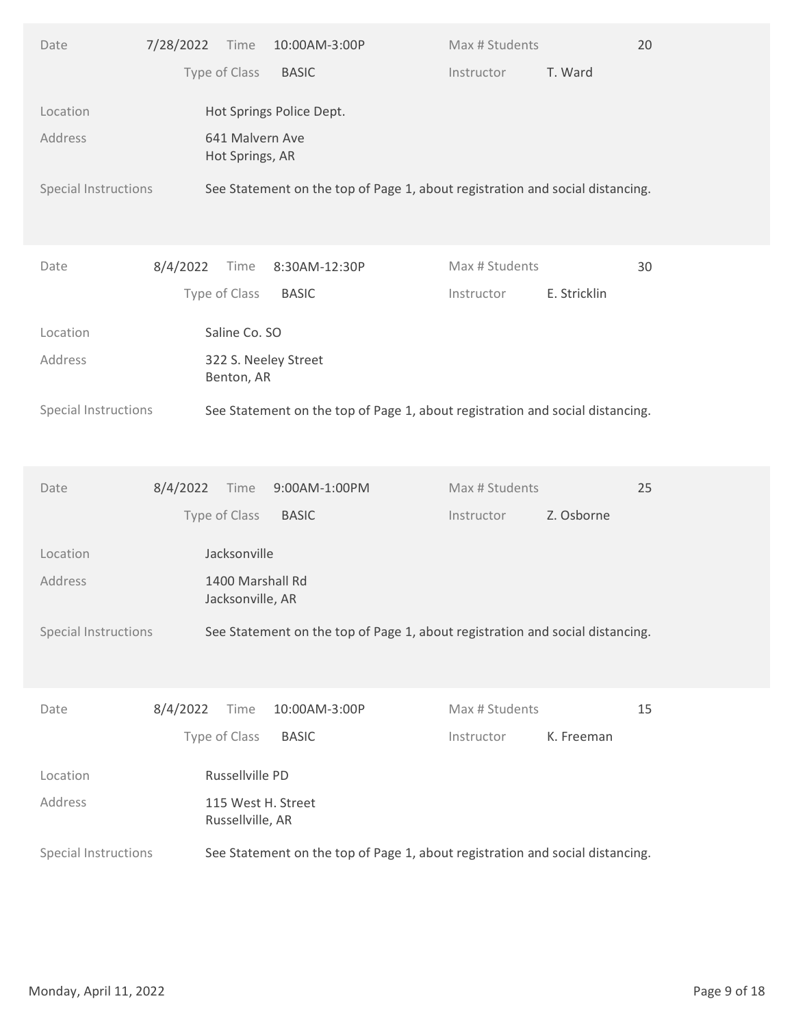| Type of Class<br><b>BASIC</b><br>T. Ward<br>Instructor<br>Hot Springs Police Dept.<br>Location<br>641 Malvern Ave<br>Address<br>Hot Springs, AR<br>Special Instructions<br>See Statement on the top of Page 1, about registration and social distancing.<br>8/4/2022<br>Max # Students<br>Time<br>8:30AM-12:30P<br>30<br>Date<br>Type of Class<br><b>BASIC</b><br>E. Stricklin<br>Instructor<br>Saline Co. SO<br>Location<br>Address<br>322 S. Neeley Street<br>Benton, AR<br>See Statement on the top of Page 1, about registration and social distancing.<br>Special Instructions<br>25<br>8/4/2022<br>9:00AM-1:00PM<br>Max # Students<br>Date<br>Time<br>Type of Class<br>Z. Osborne<br><b>BASIC</b><br>Instructor<br>Location<br>Jacksonville<br>Address<br>1400 Marshall Rd<br>Jacksonville, AR<br>Special Instructions<br>See Statement on the top of Page 1, about registration and social distancing.<br>15<br>8/4/2022<br>10:00AM-3:00P<br>Max # Students<br>Time<br>Date<br>Type of Class<br>K. Freeman<br><b>BASIC</b><br>Instructor<br>Russellville PD<br>Location<br>Address<br>115 West H. Street<br>Russellville, AR<br>See Statement on the top of Page 1, about registration and social distancing.<br>Special Instructions | Date | 7/28/2022 Time | 10:00AM-3:00P | Max # Students | 20 |  |
|----------------------------------------------------------------------------------------------------------------------------------------------------------------------------------------------------------------------------------------------------------------------------------------------------------------------------------------------------------------------------------------------------------------------------------------------------------------------------------------------------------------------------------------------------------------------------------------------------------------------------------------------------------------------------------------------------------------------------------------------------------------------------------------------------------------------------------------------------------------------------------------------------------------------------------------------------------------------------------------------------------------------------------------------------------------------------------------------------------------------------------------------------------------------------------------------------------------------------------------------|------|----------------|---------------|----------------|----|--|
|                                                                                                                                                                                                                                                                                                                                                                                                                                                                                                                                                                                                                                                                                                                                                                                                                                                                                                                                                                                                                                                                                                                                                                                                                                              |      |                |               |                |    |  |
|                                                                                                                                                                                                                                                                                                                                                                                                                                                                                                                                                                                                                                                                                                                                                                                                                                                                                                                                                                                                                                                                                                                                                                                                                                              |      |                |               |                |    |  |
|                                                                                                                                                                                                                                                                                                                                                                                                                                                                                                                                                                                                                                                                                                                                                                                                                                                                                                                                                                                                                                                                                                                                                                                                                                              |      |                |               |                |    |  |
|                                                                                                                                                                                                                                                                                                                                                                                                                                                                                                                                                                                                                                                                                                                                                                                                                                                                                                                                                                                                                                                                                                                                                                                                                                              |      |                |               |                |    |  |
|                                                                                                                                                                                                                                                                                                                                                                                                                                                                                                                                                                                                                                                                                                                                                                                                                                                                                                                                                                                                                                                                                                                                                                                                                                              |      |                |               |                |    |  |
|                                                                                                                                                                                                                                                                                                                                                                                                                                                                                                                                                                                                                                                                                                                                                                                                                                                                                                                                                                                                                                                                                                                                                                                                                                              |      |                |               |                |    |  |
|                                                                                                                                                                                                                                                                                                                                                                                                                                                                                                                                                                                                                                                                                                                                                                                                                                                                                                                                                                                                                                                                                                                                                                                                                                              |      |                |               |                |    |  |
|                                                                                                                                                                                                                                                                                                                                                                                                                                                                                                                                                                                                                                                                                                                                                                                                                                                                                                                                                                                                                                                                                                                                                                                                                                              |      |                |               |                |    |  |
|                                                                                                                                                                                                                                                                                                                                                                                                                                                                                                                                                                                                                                                                                                                                                                                                                                                                                                                                                                                                                                                                                                                                                                                                                                              |      |                |               |                |    |  |
|                                                                                                                                                                                                                                                                                                                                                                                                                                                                                                                                                                                                                                                                                                                                                                                                                                                                                                                                                                                                                                                                                                                                                                                                                                              |      |                |               |                |    |  |
|                                                                                                                                                                                                                                                                                                                                                                                                                                                                                                                                                                                                                                                                                                                                                                                                                                                                                                                                                                                                                                                                                                                                                                                                                                              |      |                |               |                |    |  |
|                                                                                                                                                                                                                                                                                                                                                                                                                                                                                                                                                                                                                                                                                                                                                                                                                                                                                                                                                                                                                                                                                                                                                                                                                                              |      |                |               |                |    |  |
|                                                                                                                                                                                                                                                                                                                                                                                                                                                                                                                                                                                                                                                                                                                                                                                                                                                                                                                                                                                                                                                                                                                                                                                                                                              |      |                |               |                |    |  |
|                                                                                                                                                                                                                                                                                                                                                                                                                                                                                                                                                                                                                                                                                                                                                                                                                                                                                                                                                                                                                                                                                                                                                                                                                                              |      |                |               |                |    |  |
|                                                                                                                                                                                                                                                                                                                                                                                                                                                                                                                                                                                                                                                                                                                                                                                                                                                                                                                                                                                                                                                                                                                                                                                                                                              |      |                |               |                |    |  |
|                                                                                                                                                                                                                                                                                                                                                                                                                                                                                                                                                                                                                                                                                                                                                                                                                                                                                                                                                                                                                                                                                                                                                                                                                                              |      |                |               |                |    |  |
|                                                                                                                                                                                                                                                                                                                                                                                                                                                                                                                                                                                                                                                                                                                                                                                                                                                                                                                                                                                                                                                                                                                                                                                                                                              |      |                |               |                |    |  |
|                                                                                                                                                                                                                                                                                                                                                                                                                                                                                                                                                                                                                                                                                                                                                                                                                                                                                                                                                                                                                                                                                                                                                                                                                                              |      |                |               |                |    |  |
|                                                                                                                                                                                                                                                                                                                                                                                                                                                                                                                                                                                                                                                                                                                                                                                                                                                                                                                                                                                                                                                                                                                                                                                                                                              |      |                |               |                |    |  |
|                                                                                                                                                                                                                                                                                                                                                                                                                                                                                                                                                                                                                                                                                                                                                                                                                                                                                                                                                                                                                                                                                                                                                                                                                                              |      |                |               |                |    |  |
|                                                                                                                                                                                                                                                                                                                                                                                                                                                                                                                                                                                                                                                                                                                                                                                                                                                                                                                                                                                                                                                                                                                                                                                                                                              |      |                |               |                |    |  |
|                                                                                                                                                                                                                                                                                                                                                                                                                                                                                                                                                                                                                                                                                                                                                                                                                                                                                                                                                                                                                                                                                                                                                                                                                                              |      |                |               |                |    |  |
|                                                                                                                                                                                                                                                                                                                                                                                                                                                                                                                                                                                                                                                                                                                                                                                                                                                                                                                                                                                                                                                                                                                                                                                                                                              |      |                |               |                |    |  |
|                                                                                                                                                                                                                                                                                                                                                                                                                                                                                                                                                                                                                                                                                                                                                                                                                                                                                                                                                                                                                                                                                                                                                                                                                                              |      |                |               |                |    |  |
|                                                                                                                                                                                                                                                                                                                                                                                                                                                                                                                                                                                                                                                                                                                                                                                                                                                                                                                                                                                                                                                                                                                                                                                                                                              |      |                |               |                |    |  |
| Page 9 of 18<br>Monday, April 11, 2022                                                                                                                                                                                                                                                                                                                                                                                                                                                                                                                                                                                                                                                                                                                                                                                                                                                                                                                                                                                                                                                                                                                                                                                                       |      |                |               |                |    |  |
|                                                                                                                                                                                                                                                                                                                                                                                                                                                                                                                                                                                                                                                                                                                                                                                                                                                                                                                                                                                                                                                                                                                                                                                                                                              |      |                |               |                |    |  |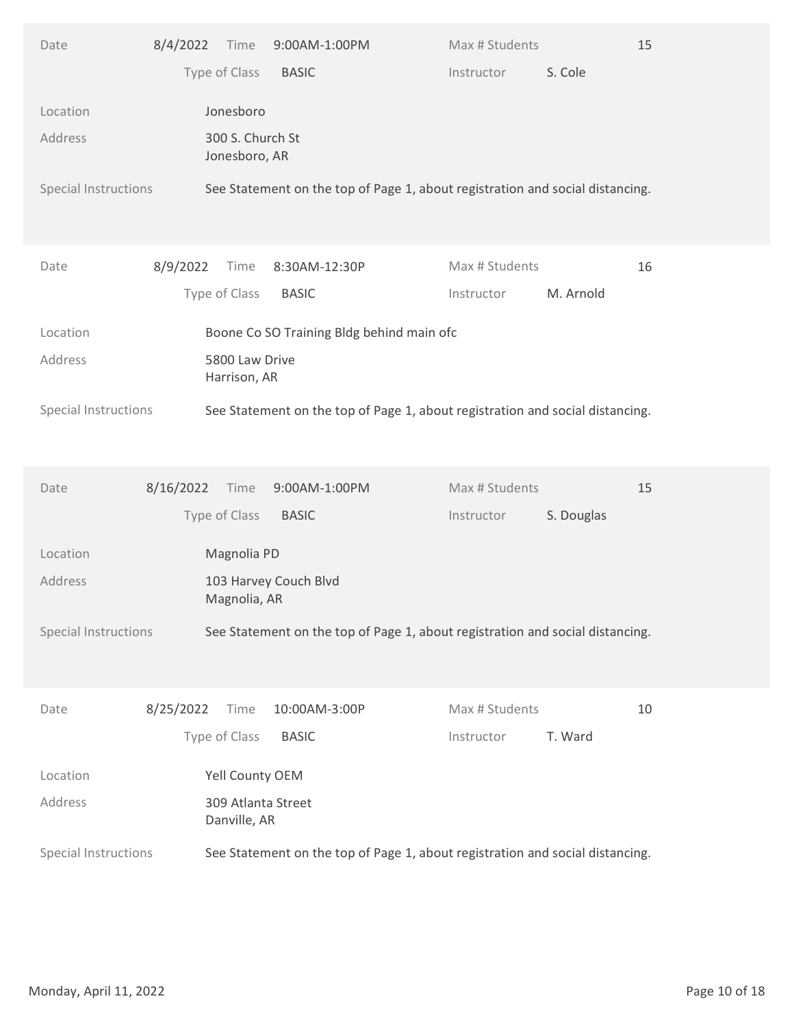| Type of Class<br>S. Cole<br><b>BASIC</b><br>Instructor<br>Jonesboro<br>Location<br>300 S. Church St<br>Address<br>Jonesboro, AR<br>Special Instructions<br>See Statement on the top of Page 1, about registration and social distancing.<br>Max # Students<br>8/9/2022<br>Time<br>8:30AM-12:30P<br>16<br>Date<br>Type of Class<br><b>BASIC</b><br>M. Arnold<br>Instructor<br>Boone Co SO Training Bldg behind main ofc<br>Location<br>Address<br>5800 Law Drive<br>Harrison, AR<br>See Statement on the top of Page 1, about registration and social distancing.<br>Special Instructions<br>15<br>8/16/2022<br>9:00AM-1:00PM<br>Max # Students<br>Date<br>Time<br>Type of Class<br><b>BASIC</b><br>S. Douglas<br>Instructor<br>Magnolia PD<br>Location<br>Address<br>103 Harvey Couch Blvd<br>Magnolia, AR<br>Special Instructions<br>See Statement on the top of Page 1, about registration and social distancing.<br>$10$<br>8/25/2022<br>10:00AM-3:00P<br>Max # Students<br>Time<br>Date<br>Type of Class<br>T. Ward<br><b>BASIC</b><br>Instructor<br>Yell County OEM<br>Location<br>Address<br>309 Atlanta Street<br>Danville, AR<br>Special Instructions<br>See Statement on the top of Page 1, about registration and social distancing.<br>Monday, April 11, 2022<br>Page 10 of 18 | Date | 8/4/2022 | Time | 9:00AM-1:00PM | Max # Students | 15 |  |
|-------------------------------------------------------------------------------------------------------------------------------------------------------------------------------------------------------------------------------------------------------------------------------------------------------------------------------------------------------------------------------------------------------------------------------------------------------------------------------------------------------------------------------------------------------------------------------------------------------------------------------------------------------------------------------------------------------------------------------------------------------------------------------------------------------------------------------------------------------------------------------------------------------------------------------------------------------------------------------------------------------------------------------------------------------------------------------------------------------------------------------------------------------------------------------------------------------------------------------------------------------------------------------------------|------|----------|------|---------------|----------------|----|--|
|                                                                                                                                                                                                                                                                                                                                                                                                                                                                                                                                                                                                                                                                                                                                                                                                                                                                                                                                                                                                                                                                                                                                                                                                                                                                                           |      |          |      |               |                |    |  |
|                                                                                                                                                                                                                                                                                                                                                                                                                                                                                                                                                                                                                                                                                                                                                                                                                                                                                                                                                                                                                                                                                                                                                                                                                                                                                           |      |          |      |               |                |    |  |
|                                                                                                                                                                                                                                                                                                                                                                                                                                                                                                                                                                                                                                                                                                                                                                                                                                                                                                                                                                                                                                                                                                                                                                                                                                                                                           |      |          |      |               |                |    |  |
|                                                                                                                                                                                                                                                                                                                                                                                                                                                                                                                                                                                                                                                                                                                                                                                                                                                                                                                                                                                                                                                                                                                                                                                                                                                                                           |      |          |      |               |                |    |  |
|                                                                                                                                                                                                                                                                                                                                                                                                                                                                                                                                                                                                                                                                                                                                                                                                                                                                                                                                                                                                                                                                                                                                                                                                                                                                                           |      |          |      |               |                |    |  |
|                                                                                                                                                                                                                                                                                                                                                                                                                                                                                                                                                                                                                                                                                                                                                                                                                                                                                                                                                                                                                                                                                                                                                                                                                                                                                           |      |          |      |               |                |    |  |
|                                                                                                                                                                                                                                                                                                                                                                                                                                                                                                                                                                                                                                                                                                                                                                                                                                                                                                                                                                                                                                                                                                                                                                                                                                                                                           |      |          |      |               |                |    |  |
|                                                                                                                                                                                                                                                                                                                                                                                                                                                                                                                                                                                                                                                                                                                                                                                                                                                                                                                                                                                                                                                                                                                                                                                                                                                                                           |      |          |      |               |                |    |  |
|                                                                                                                                                                                                                                                                                                                                                                                                                                                                                                                                                                                                                                                                                                                                                                                                                                                                                                                                                                                                                                                                                                                                                                                                                                                                                           |      |          |      |               |                |    |  |
|                                                                                                                                                                                                                                                                                                                                                                                                                                                                                                                                                                                                                                                                                                                                                                                                                                                                                                                                                                                                                                                                                                                                                                                                                                                                                           |      |          |      |               |                |    |  |
|                                                                                                                                                                                                                                                                                                                                                                                                                                                                                                                                                                                                                                                                                                                                                                                                                                                                                                                                                                                                                                                                                                                                                                                                                                                                                           |      |          |      |               |                |    |  |
|                                                                                                                                                                                                                                                                                                                                                                                                                                                                                                                                                                                                                                                                                                                                                                                                                                                                                                                                                                                                                                                                                                                                                                                                                                                                                           |      |          |      |               |                |    |  |
|                                                                                                                                                                                                                                                                                                                                                                                                                                                                                                                                                                                                                                                                                                                                                                                                                                                                                                                                                                                                                                                                                                                                                                                                                                                                                           |      |          |      |               |                |    |  |
|                                                                                                                                                                                                                                                                                                                                                                                                                                                                                                                                                                                                                                                                                                                                                                                                                                                                                                                                                                                                                                                                                                                                                                                                                                                                                           |      |          |      |               |                |    |  |
|                                                                                                                                                                                                                                                                                                                                                                                                                                                                                                                                                                                                                                                                                                                                                                                                                                                                                                                                                                                                                                                                                                                                                                                                                                                                                           |      |          |      |               |                |    |  |
|                                                                                                                                                                                                                                                                                                                                                                                                                                                                                                                                                                                                                                                                                                                                                                                                                                                                                                                                                                                                                                                                                                                                                                                                                                                                                           |      |          |      |               |                |    |  |
|                                                                                                                                                                                                                                                                                                                                                                                                                                                                                                                                                                                                                                                                                                                                                                                                                                                                                                                                                                                                                                                                                                                                                                                                                                                                                           |      |          |      |               |                |    |  |
|                                                                                                                                                                                                                                                                                                                                                                                                                                                                                                                                                                                                                                                                                                                                                                                                                                                                                                                                                                                                                                                                                                                                                                                                                                                                                           |      |          |      |               |                |    |  |
|                                                                                                                                                                                                                                                                                                                                                                                                                                                                                                                                                                                                                                                                                                                                                                                                                                                                                                                                                                                                                                                                                                                                                                                                                                                                                           |      |          |      |               |                |    |  |
|                                                                                                                                                                                                                                                                                                                                                                                                                                                                                                                                                                                                                                                                                                                                                                                                                                                                                                                                                                                                                                                                                                                                                                                                                                                                                           |      |          |      |               |                |    |  |
|                                                                                                                                                                                                                                                                                                                                                                                                                                                                                                                                                                                                                                                                                                                                                                                                                                                                                                                                                                                                                                                                                                                                                                                                                                                                                           |      |          |      |               |                |    |  |
|                                                                                                                                                                                                                                                                                                                                                                                                                                                                                                                                                                                                                                                                                                                                                                                                                                                                                                                                                                                                                                                                                                                                                                                                                                                                                           |      |          |      |               |                |    |  |
|                                                                                                                                                                                                                                                                                                                                                                                                                                                                                                                                                                                                                                                                                                                                                                                                                                                                                                                                                                                                                                                                                                                                                                                                                                                                                           |      |          |      |               |                |    |  |
|                                                                                                                                                                                                                                                                                                                                                                                                                                                                                                                                                                                                                                                                                                                                                                                                                                                                                                                                                                                                                                                                                                                                                                                                                                                                                           |      |          |      |               |                |    |  |
|                                                                                                                                                                                                                                                                                                                                                                                                                                                                                                                                                                                                                                                                                                                                                                                                                                                                                                                                                                                                                                                                                                                                                                                                                                                                                           |      |          |      |               |                |    |  |
|                                                                                                                                                                                                                                                                                                                                                                                                                                                                                                                                                                                                                                                                                                                                                                                                                                                                                                                                                                                                                                                                                                                                                                                                                                                                                           |      |          |      |               |                |    |  |
|                                                                                                                                                                                                                                                                                                                                                                                                                                                                                                                                                                                                                                                                                                                                                                                                                                                                                                                                                                                                                                                                                                                                                                                                                                                                                           |      |          |      |               |                |    |  |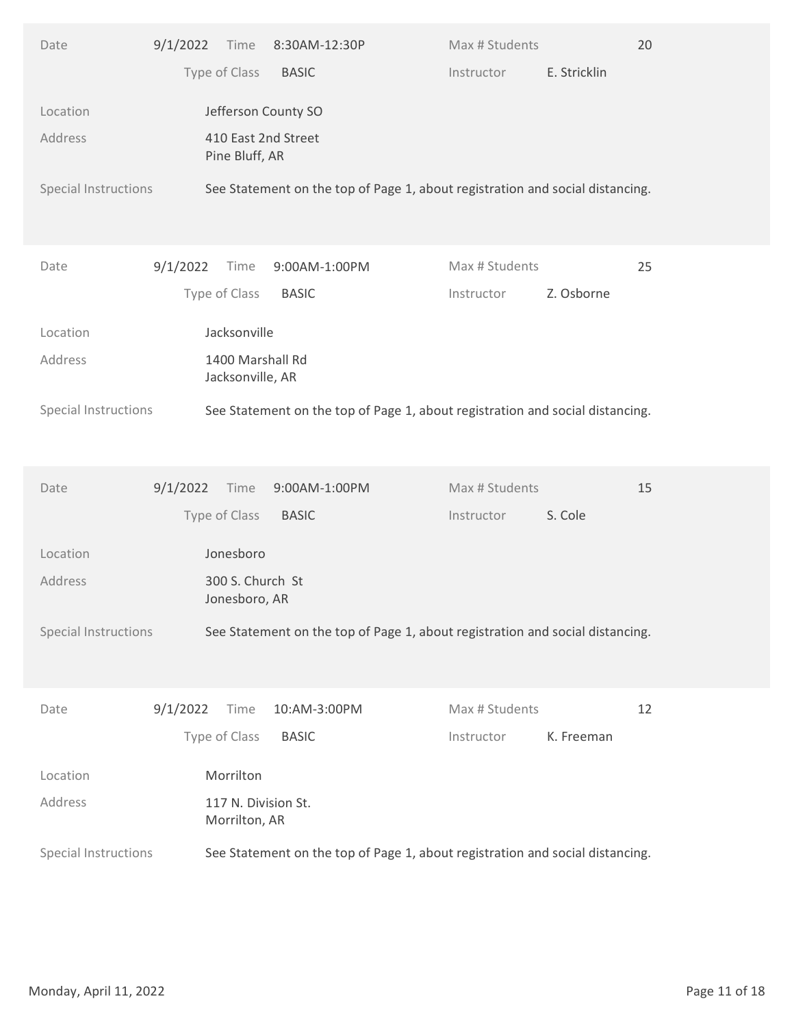| Type of Class<br>E. Stricklin<br><b>BASIC</b><br>Instructor<br>Jefferson County SO<br>Location<br>410 East 2nd Street<br>Address<br>Pine Bluff, AR<br>Special Instructions<br>See Statement on the top of Page 1, about registration and social distancing.<br>9/1/2022<br>Max # Students<br>25<br>Date<br>Time<br>9:00AM-1:00PM<br>Type of Class<br><b>BASIC</b><br>Z. Osborne<br>Instructor<br>Jacksonville<br>Location<br>1400 Marshall Rd<br>Address<br>Jacksonville, AR<br>Special Instructions<br>See Statement on the top of Page 1, about registration and social distancing.<br>15<br>9/1/2022<br>9:00AM-1:00PM<br>Max # Students<br>Time<br>Date<br>Type of Class<br>S. Cole<br><b>BASIC</b><br>Instructor<br>Location<br>Jonesboro<br>Address<br>300 S. Church St<br>Jonesboro, AR<br>Special Instructions<br>See Statement on the top of Page 1, about registration and social distancing.<br>9/1/2022<br>10:AM-3:00PM<br>Max # Students<br>12<br>Time<br>Date<br>Type of Class<br><b>BASIC</b><br>K. Freeman<br>Instructor<br>Morrilton<br>Location<br>Address<br>117 N. Division St.<br>Morrilton, AR<br>See Statement on the top of Page 1, about registration and social distancing.<br>Special Instructions<br>Monday, April 11, 2022<br>Page 11 of 18 | Date | 9/1/2022 | Time | 8:30AM-12:30P | Max # Students | 20 |  |
|-------------------------------------------------------------------------------------------------------------------------------------------------------------------------------------------------------------------------------------------------------------------------------------------------------------------------------------------------------------------------------------------------------------------------------------------------------------------------------------------------------------------------------------------------------------------------------------------------------------------------------------------------------------------------------------------------------------------------------------------------------------------------------------------------------------------------------------------------------------------------------------------------------------------------------------------------------------------------------------------------------------------------------------------------------------------------------------------------------------------------------------------------------------------------------------------------------------------------------------------------------------------------|------|----------|------|---------------|----------------|----|--|
|                                                                                                                                                                                                                                                                                                                                                                                                                                                                                                                                                                                                                                                                                                                                                                                                                                                                                                                                                                                                                                                                                                                                                                                                                                                                         |      |          |      |               |                |    |  |
|                                                                                                                                                                                                                                                                                                                                                                                                                                                                                                                                                                                                                                                                                                                                                                                                                                                                                                                                                                                                                                                                                                                                                                                                                                                                         |      |          |      |               |                |    |  |
|                                                                                                                                                                                                                                                                                                                                                                                                                                                                                                                                                                                                                                                                                                                                                                                                                                                                                                                                                                                                                                                                                                                                                                                                                                                                         |      |          |      |               |                |    |  |
|                                                                                                                                                                                                                                                                                                                                                                                                                                                                                                                                                                                                                                                                                                                                                                                                                                                                                                                                                                                                                                                                                                                                                                                                                                                                         |      |          |      |               |                |    |  |
|                                                                                                                                                                                                                                                                                                                                                                                                                                                                                                                                                                                                                                                                                                                                                                                                                                                                                                                                                                                                                                                                                                                                                                                                                                                                         |      |          |      |               |                |    |  |
|                                                                                                                                                                                                                                                                                                                                                                                                                                                                                                                                                                                                                                                                                                                                                                                                                                                                                                                                                                                                                                                                                                                                                                                                                                                                         |      |          |      |               |                |    |  |
|                                                                                                                                                                                                                                                                                                                                                                                                                                                                                                                                                                                                                                                                                                                                                                                                                                                                                                                                                                                                                                                                                                                                                                                                                                                                         |      |          |      |               |                |    |  |
|                                                                                                                                                                                                                                                                                                                                                                                                                                                                                                                                                                                                                                                                                                                                                                                                                                                                                                                                                                                                                                                                                                                                                                                                                                                                         |      |          |      |               |                |    |  |
|                                                                                                                                                                                                                                                                                                                                                                                                                                                                                                                                                                                                                                                                                                                                                                                                                                                                                                                                                                                                                                                                                                                                                                                                                                                                         |      |          |      |               |                |    |  |
|                                                                                                                                                                                                                                                                                                                                                                                                                                                                                                                                                                                                                                                                                                                                                                                                                                                                                                                                                                                                                                                                                                                                                                                                                                                                         |      |          |      |               |                |    |  |
|                                                                                                                                                                                                                                                                                                                                                                                                                                                                                                                                                                                                                                                                                                                                                                                                                                                                                                                                                                                                                                                                                                                                                                                                                                                                         |      |          |      |               |                |    |  |
|                                                                                                                                                                                                                                                                                                                                                                                                                                                                                                                                                                                                                                                                                                                                                                                                                                                                                                                                                                                                                                                                                                                                                                                                                                                                         |      |          |      |               |                |    |  |
|                                                                                                                                                                                                                                                                                                                                                                                                                                                                                                                                                                                                                                                                                                                                                                                                                                                                                                                                                                                                                                                                                                                                                                                                                                                                         |      |          |      |               |                |    |  |
|                                                                                                                                                                                                                                                                                                                                                                                                                                                                                                                                                                                                                                                                                                                                                                                                                                                                                                                                                                                                                                                                                                                                                                                                                                                                         |      |          |      |               |                |    |  |
|                                                                                                                                                                                                                                                                                                                                                                                                                                                                                                                                                                                                                                                                                                                                                                                                                                                                                                                                                                                                                                                                                                                                                                                                                                                                         |      |          |      |               |                |    |  |
|                                                                                                                                                                                                                                                                                                                                                                                                                                                                                                                                                                                                                                                                                                                                                                                                                                                                                                                                                                                                                                                                                                                                                                                                                                                                         |      |          |      |               |                |    |  |
|                                                                                                                                                                                                                                                                                                                                                                                                                                                                                                                                                                                                                                                                                                                                                                                                                                                                                                                                                                                                                                                                                                                                                                                                                                                                         |      |          |      |               |                |    |  |
|                                                                                                                                                                                                                                                                                                                                                                                                                                                                                                                                                                                                                                                                                                                                                                                                                                                                                                                                                                                                                                                                                                                                                                                                                                                                         |      |          |      |               |                |    |  |
|                                                                                                                                                                                                                                                                                                                                                                                                                                                                                                                                                                                                                                                                                                                                                                                                                                                                                                                                                                                                                                                                                                                                                                                                                                                                         |      |          |      |               |                |    |  |
|                                                                                                                                                                                                                                                                                                                                                                                                                                                                                                                                                                                                                                                                                                                                                                                                                                                                                                                                                                                                                                                                                                                                                                                                                                                                         |      |          |      |               |                |    |  |
|                                                                                                                                                                                                                                                                                                                                                                                                                                                                                                                                                                                                                                                                                                                                                                                                                                                                                                                                                                                                                                                                                                                                                                                                                                                                         |      |          |      |               |                |    |  |
|                                                                                                                                                                                                                                                                                                                                                                                                                                                                                                                                                                                                                                                                                                                                                                                                                                                                                                                                                                                                                                                                                                                                                                                                                                                                         |      |          |      |               |                |    |  |
|                                                                                                                                                                                                                                                                                                                                                                                                                                                                                                                                                                                                                                                                                                                                                                                                                                                                                                                                                                                                                                                                                                                                                                                                                                                                         |      |          |      |               |                |    |  |
|                                                                                                                                                                                                                                                                                                                                                                                                                                                                                                                                                                                                                                                                                                                                                                                                                                                                                                                                                                                                                                                                                                                                                                                                                                                                         |      |          |      |               |                |    |  |
|                                                                                                                                                                                                                                                                                                                                                                                                                                                                                                                                                                                                                                                                                                                                                                                                                                                                                                                                                                                                                                                                                                                                                                                                                                                                         |      |          |      |               |                |    |  |
|                                                                                                                                                                                                                                                                                                                                                                                                                                                                                                                                                                                                                                                                                                                                                                                                                                                                                                                                                                                                                                                                                                                                                                                                                                                                         |      |          |      |               |                |    |  |
|                                                                                                                                                                                                                                                                                                                                                                                                                                                                                                                                                                                                                                                                                                                                                                                                                                                                                                                                                                                                                                                                                                                                                                                                                                                                         |      |          |      |               |                |    |  |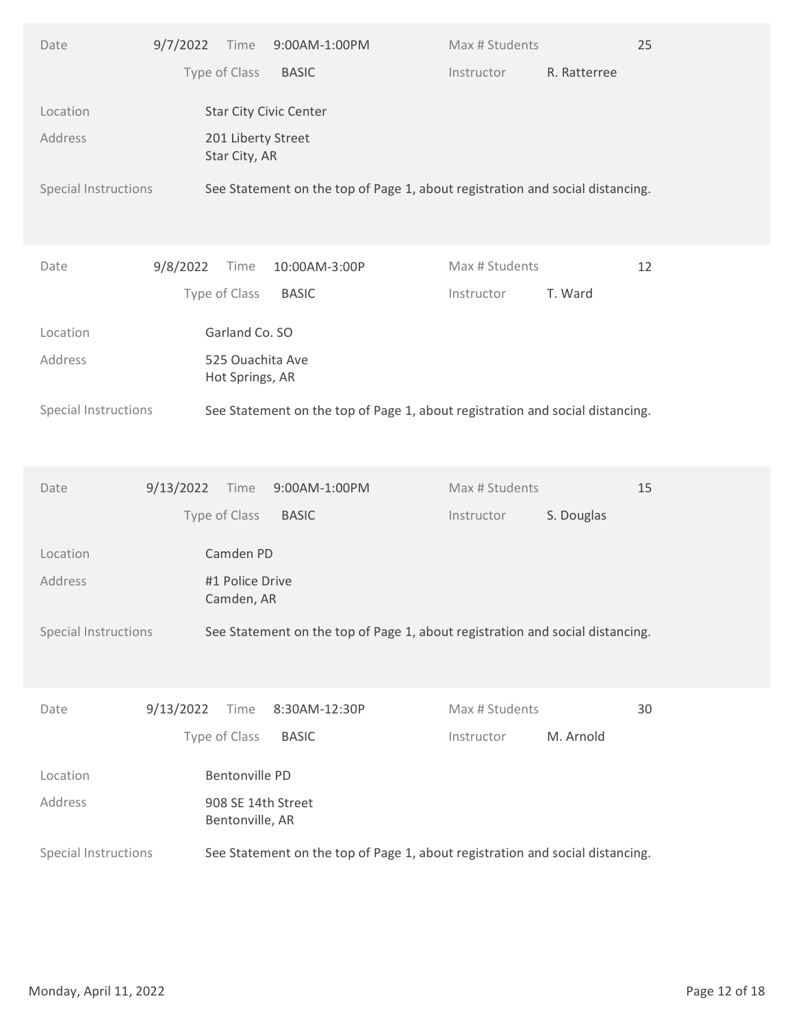| Type of Class<br><b>BASIC</b><br>R. Ratterree<br>Instructor<br>Location<br><b>Star City Civic Center</b><br>Address<br>201 Liberty Street<br>Star City, AR<br>Special Instructions<br>See Statement on the top of Page 1, about registration and social distancing.<br>9/8/2022<br>Max # Students<br>12<br>Date<br>Time<br>10:00AM-3:00P<br>Type of Class<br><b>BASIC</b><br>T. Ward<br>Instructor<br>Garland Co. SO<br>Location<br>Address<br>525 Ouachita Ave<br>Hot Springs, AR<br>Special Instructions<br>See Statement on the top of Page 1, about registration and social distancing.<br>Max # Students<br>15<br>9/13/2022<br>9:00AM-1:00PM<br>Date<br>Time<br>Type of Class<br><b>BASIC</b><br>S. Douglas<br>Instructor<br>Location<br>Camden PD<br>Address<br>#1 Police Drive<br>Camden, AR<br>Special Instructions<br>See Statement on the top of Page 1, about registration and social distancing.<br>9/13/2022<br>Max # Students<br>30<br>Time<br>8:30AM-12:30P<br>Date<br>Type of Class<br><b>BASIC</b><br>M. Arnold<br>Instructor<br><b>Bentonville PD</b><br>Location<br>Address<br>908 SE 14th Street<br>Bentonville, AR<br>See Statement on the top of Page 1, about registration and social distancing.<br>Special Instructions<br>Monday, April 11, 2022<br>Page 12 of 18 | Date | 9/7/2022 | Time | 9:00AM-1:00PM | Max # Students | 25 |  |
|---------------------------------------------------------------------------------------------------------------------------------------------------------------------------------------------------------------------------------------------------------------------------------------------------------------------------------------------------------------------------------------------------------------------------------------------------------------------------------------------------------------------------------------------------------------------------------------------------------------------------------------------------------------------------------------------------------------------------------------------------------------------------------------------------------------------------------------------------------------------------------------------------------------------------------------------------------------------------------------------------------------------------------------------------------------------------------------------------------------------------------------------------------------------------------------------------------------------------------------------------------------------------------------------|------|----------|------|---------------|----------------|----|--|
|                                                                                                                                                                                                                                                                                                                                                                                                                                                                                                                                                                                                                                                                                                                                                                                                                                                                                                                                                                                                                                                                                                                                                                                                                                                                                             |      |          |      |               |                |    |  |
|                                                                                                                                                                                                                                                                                                                                                                                                                                                                                                                                                                                                                                                                                                                                                                                                                                                                                                                                                                                                                                                                                                                                                                                                                                                                                             |      |          |      |               |                |    |  |
|                                                                                                                                                                                                                                                                                                                                                                                                                                                                                                                                                                                                                                                                                                                                                                                                                                                                                                                                                                                                                                                                                                                                                                                                                                                                                             |      |          |      |               |                |    |  |
|                                                                                                                                                                                                                                                                                                                                                                                                                                                                                                                                                                                                                                                                                                                                                                                                                                                                                                                                                                                                                                                                                                                                                                                                                                                                                             |      |          |      |               |                |    |  |
|                                                                                                                                                                                                                                                                                                                                                                                                                                                                                                                                                                                                                                                                                                                                                                                                                                                                                                                                                                                                                                                                                                                                                                                                                                                                                             |      |          |      |               |                |    |  |
|                                                                                                                                                                                                                                                                                                                                                                                                                                                                                                                                                                                                                                                                                                                                                                                                                                                                                                                                                                                                                                                                                                                                                                                                                                                                                             |      |          |      |               |                |    |  |
|                                                                                                                                                                                                                                                                                                                                                                                                                                                                                                                                                                                                                                                                                                                                                                                                                                                                                                                                                                                                                                                                                                                                                                                                                                                                                             |      |          |      |               |                |    |  |
|                                                                                                                                                                                                                                                                                                                                                                                                                                                                                                                                                                                                                                                                                                                                                                                                                                                                                                                                                                                                                                                                                                                                                                                                                                                                                             |      |          |      |               |                |    |  |
|                                                                                                                                                                                                                                                                                                                                                                                                                                                                                                                                                                                                                                                                                                                                                                                                                                                                                                                                                                                                                                                                                                                                                                                                                                                                                             |      |          |      |               |                |    |  |
|                                                                                                                                                                                                                                                                                                                                                                                                                                                                                                                                                                                                                                                                                                                                                                                                                                                                                                                                                                                                                                                                                                                                                                                                                                                                                             |      |          |      |               |                |    |  |
|                                                                                                                                                                                                                                                                                                                                                                                                                                                                                                                                                                                                                                                                                                                                                                                                                                                                                                                                                                                                                                                                                                                                                                                                                                                                                             |      |          |      |               |                |    |  |
|                                                                                                                                                                                                                                                                                                                                                                                                                                                                                                                                                                                                                                                                                                                                                                                                                                                                                                                                                                                                                                                                                                                                                                                                                                                                                             |      |          |      |               |                |    |  |
|                                                                                                                                                                                                                                                                                                                                                                                                                                                                                                                                                                                                                                                                                                                                                                                                                                                                                                                                                                                                                                                                                                                                                                                                                                                                                             |      |          |      |               |                |    |  |
|                                                                                                                                                                                                                                                                                                                                                                                                                                                                                                                                                                                                                                                                                                                                                                                                                                                                                                                                                                                                                                                                                                                                                                                                                                                                                             |      |          |      |               |                |    |  |
|                                                                                                                                                                                                                                                                                                                                                                                                                                                                                                                                                                                                                                                                                                                                                                                                                                                                                                                                                                                                                                                                                                                                                                                                                                                                                             |      |          |      |               |                |    |  |
|                                                                                                                                                                                                                                                                                                                                                                                                                                                                                                                                                                                                                                                                                                                                                                                                                                                                                                                                                                                                                                                                                                                                                                                                                                                                                             |      |          |      |               |                |    |  |
|                                                                                                                                                                                                                                                                                                                                                                                                                                                                                                                                                                                                                                                                                                                                                                                                                                                                                                                                                                                                                                                                                                                                                                                                                                                                                             |      |          |      |               |                |    |  |
|                                                                                                                                                                                                                                                                                                                                                                                                                                                                                                                                                                                                                                                                                                                                                                                                                                                                                                                                                                                                                                                                                                                                                                                                                                                                                             |      |          |      |               |                |    |  |
|                                                                                                                                                                                                                                                                                                                                                                                                                                                                                                                                                                                                                                                                                                                                                                                                                                                                                                                                                                                                                                                                                                                                                                                                                                                                                             |      |          |      |               |                |    |  |
|                                                                                                                                                                                                                                                                                                                                                                                                                                                                                                                                                                                                                                                                                                                                                                                                                                                                                                                                                                                                                                                                                                                                                                                                                                                                                             |      |          |      |               |                |    |  |
|                                                                                                                                                                                                                                                                                                                                                                                                                                                                                                                                                                                                                                                                                                                                                                                                                                                                                                                                                                                                                                                                                                                                                                                                                                                                                             |      |          |      |               |                |    |  |
|                                                                                                                                                                                                                                                                                                                                                                                                                                                                                                                                                                                                                                                                                                                                                                                                                                                                                                                                                                                                                                                                                                                                                                                                                                                                                             |      |          |      |               |                |    |  |
|                                                                                                                                                                                                                                                                                                                                                                                                                                                                                                                                                                                                                                                                                                                                                                                                                                                                                                                                                                                                                                                                                                                                                                                                                                                                                             |      |          |      |               |                |    |  |
|                                                                                                                                                                                                                                                                                                                                                                                                                                                                                                                                                                                                                                                                                                                                                                                                                                                                                                                                                                                                                                                                                                                                                                                                                                                                                             |      |          |      |               |                |    |  |
|                                                                                                                                                                                                                                                                                                                                                                                                                                                                                                                                                                                                                                                                                                                                                                                                                                                                                                                                                                                                                                                                                                                                                                                                                                                                                             |      |          |      |               |                |    |  |
|                                                                                                                                                                                                                                                                                                                                                                                                                                                                                                                                                                                                                                                                                                                                                                                                                                                                                                                                                                                                                                                                                                                                                                                                                                                                                             |      |          |      |               |                |    |  |
|                                                                                                                                                                                                                                                                                                                                                                                                                                                                                                                                                                                                                                                                                                                                                                                                                                                                                                                                                                                                                                                                                                                                                                                                                                                                                             |      |          |      |               |                |    |  |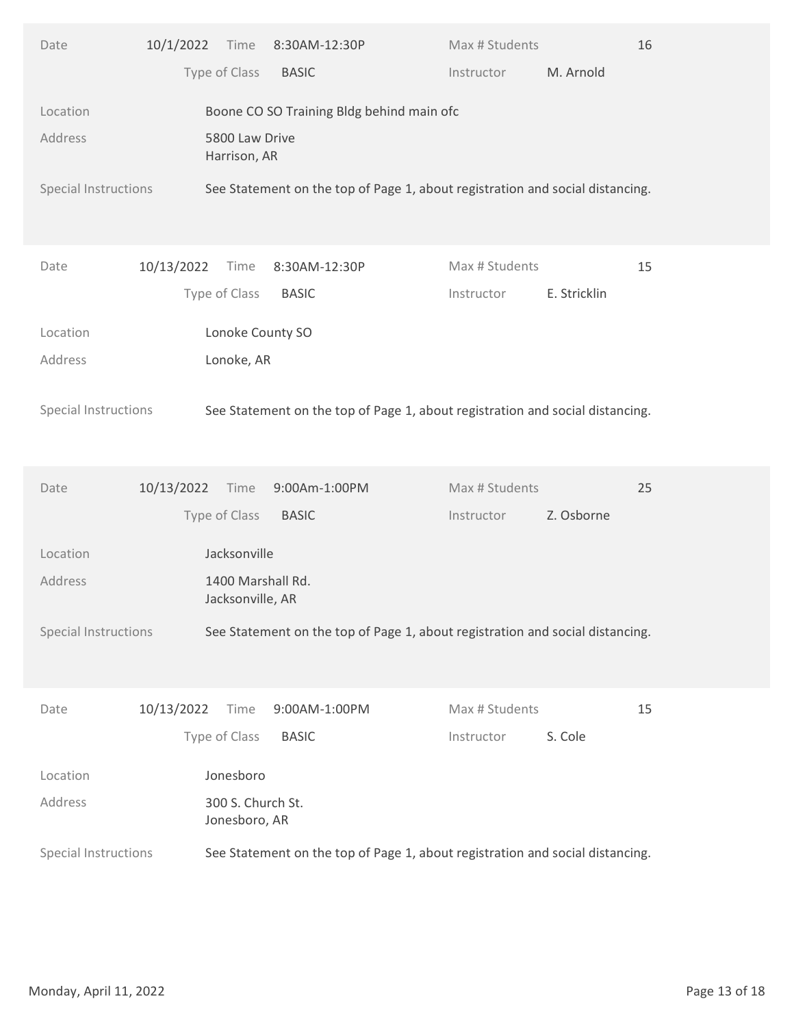| Type of Class<br><b>BASIC</b><br>M. Arnold<br>Instructor<br>Boone CO SO Training Bldg behind main ofc<br>Location<br>Address<br>5800 Law Drive<br>Harrison, AR<br>Special Instructions<br>See Statement on the top of Page 1, about registration and social distancing.<br>10/13/2022<br>Max # Students<br>15<br>Time<br>8:30AM-12:30P<br>Date<br>Type of Class<br><b>BASIC</b><br>E. Stricklin<br>Instructor<br>Lonoke County SO<br>Location<br>Lonoke, AR<br>Address<br>See Statement on the top of Page 1, about registration and social distancing.<br>Special Instructions<br>25<br>10/13/2022<br>9:00Am-1:00PM<br>Max # Students<br>Date<br>Time<br>Type of Class<br>Z. Osborne<br><b>BASIC</b><br>Instructor<br>Location<br>Jacksonville<br>Address<br>1400 Marshall Rd.<br>Jacksonville, AR<br>Special Instructions<br>See Statement on the top of Page 1, about registration and social distancing.<br>10/13/2022<br>Max # Students<br>15<br>Time<br>9:00AM-1:00PM<br>Date<br>Type of Class<br>S. Cole<br><b>BASIC</b><br>Instructor<br>Jonesboro<br>Location<br>Address<br>300 S. Church St.<br>Jonesboro, AR<br>Special Instructions<br>See Statement on the top of Page 1, about registration and social distancing.<br>Monday, April 11, 2022<br>Page 13 of 18 | 10/1/2022<br>Date | Time<br>8:30AM-12:30P | Max # Students<br>16 |  |
|-----------------------------------------------------------------------------------------------------------------------------------------------------------------------------------------------------------------------------------------------------------------------------------------------------------------------------------------------------------------------------------------------------------------------------------------------------------------------------------------------------------------------------------------------------------------------------------------------------------------------------------------------------------------------------------------------------------------------------------------------------------------------------------------------------------------------------------------------------------------------------------------------------------------------------------------------------------------------------------------------------------------------------------------------------------------------------------------------------------------------------------------------------------------------------------------------------------------------------------------------------------------------------|-------------------|-----------------------|----------------------|--|
|                                                                                                                                                                                                                                                                                                                                                                                                                                                                                                                                                                                                                                                                                                                                                                                                                                                                                                                                                                                                                                                                                                                                                                                                                                                                             |                   |                       |                      |  |
|                                                                                                                                                                                                                                                                                                                                                                                                                                                                                                                                                                                                                                                                                                                                                                                                                                                                                                                                                                                                                                                                                                                                                                                                                                                                             |                   |                       |                      |  |
|                                                                                                                                                                                                                                                                                                                                                                                                                                                                                                                                                                                                                                                                                                                                                                                                                                                                                                                                                                                                                                                                                                                                                                                                                                                                             |                   |                       |                      |  |
|                                                                                                                                                                                                                                                                                                                                                                                                                                                                                                                                                                                                                                                                                                                                                                                                                                                                                                                                                                                                                                                                                                                                                                                                                                                                             |                   |                       |                      |  |
|                                                                                                                                                                                                                                                                                                                                                                                                                                                                                                                                                                                                                                                                                                                                                                                                                                                                                                                                                                                                                                                                                                                                                                                                                                                                             |                   |                       |                      |  |
|                                                                                                                                                                                                                                                                                                                                                                                                                                                                                                                                                                                                                                                                                                                                                                                                                                                                                                                                                                                                                                                                                                                                                                                                                                                                             |                   |                       |                      |  |
|                                                                                                                                                                                                                                                                                                                                                                                                                                                                                                                                                                                                                                                                                                                                                                                                                                                                                                                                                                                                                                                                                                                                                                                                                                                                             |                   |                       |                      |  |
|                                                                                                                                                                                                                                                                                                                                                                                                                                                                                                                                                                                                                                                                                                                                                                                                                                                                                                                                                                                                                                                                                                                                                                                                                                                                             |                   |                       |                      |  |
|                                                                                                                                                                                                                                                                                                                                                                                                                                                                                                                                                                                                                                                                                                                                                                                                                                                                                                                                                                                                                                                                                                                                                                                                                                                                             |                   |                       |                      |  |
|                                                                                                                                                                                                                                                                                                                                                                                                                                                                                                                                                                                                                                                                                                                                                                                                                                                                                                                                                                                                                                                                                                                                                                                                                                                                             |                   |                       |                      |  |
|                                                                                                                                                                                                                                                                                                                                                                                                                                                                                                                                                                                                                                                                                                                                                                                                                                                                                                                                                                                                                                                                                                                                                                                                                                                                             |                   |                       |                      |  |
|                                                                                                                                                                                                                                                                                                                                                                                                                                                                                                                                                                                                                                                                                                                                                                                                                                                                                                                                                                                                                                                                                                                                                                                                                                                                             |                   |                       |                      |  |
|                                                                                                                                                                                                                                                                                                                                                                                                                                                                                                                                                                                                                                                                                                                                                                                                                                                                                                                                                                                                                                                                                                                                                                                                                                                                             |                   |                       |                      |  |
|                                                                                                                                                                                                                                                                                                                                                                                                                                                                                                                                                                                                                                                                                                                                                                                                                                                                                                                                                                                                                                                                                                                                                                                                                                                                             |                   |                       |                      |  |
|                                                                                                                                                                                                                                                                                                                                                                                                                                                                                                                                                                                                                                                                                                                                                                                                                                                                                                                                                                                                                                                                                                                                                                                                                                                                             |                   |                       |                      |  |
|                                                                                                                                                                                                                                                                                                                                                                                                                                                                                                                                                                                                                                                                                                                                                                                                                                                                                                                                                                                                                                                                                                                                                                                                                                                                             |                   |                       |                      |  |
|                                                                                                                                                                                                                                                                                                                                                                                                                                                                                                                                                                                                                                                                                                                                                                                                                                                                                                                                                                                                                                                                                                                                                                                                                                                                             |                   |                       |                      |  |
|                                                                                                                                                                                                                                                                                                                                                                                                                                                                                                                                                                                                                                                                                                                                                                                                                                                                                                                                                                                                                                                                                                                                                                                                                                                                             |                   |                       |                      |  |
|                                                                                                                                                                                                                                                                                                                                                                                                                                                                                                                                                                                                                                                                                                                                                                                                                                                                                                                                                                                                                                                                                                                                                                                                                                                                             |                   |                       |                      |  |
|                                                                                                                                                                                                                                                                                                                                                                                                                                                                                                                                                                                                                                                                                                                                                                                                                                                                                                                                                                                                                                                                                                                                                                                                                                                                             |                   |                       |                      |  |
|                                                                                                                                                                                                                                                                                                                                                                                                                                                                                                                                                                                                                                                                                                                                                                                                                                                                                                                                                                                                                                                                                                                                                                                                                                                                             |                   |                       |                      |  |
|                                                                                                                                                                                                                                                                                                                                                                                                                                                                                                                                                                                                                                                                                                                                                                                                                                                                                                                                                                                                                                                                                                                                                                                                                                                                             |                   |                       |                      |  |
|                                                                                                                                                                                                                                                                                                                                                                                                                                                                                                                                                                                                                                                                                                                                                                                                                                                                                                                                                                                                                                                                                                                                                                                                                                                                             |                   |                       |                      |  |
|                                                                                                                                                                                                                                                                                                                                                                                                                                                                                                                                                                                                                                                                                                                                                                                                                                                                                                                                                                                                                                                                                                                                                                                                                                                                             |                   |                       |                      |  |
|                                                                                                                                                                                                                                                                                                                                                                                                                                                                                                                                                                                                                                                                                                                                                                                                                                                                                                                                                                                                                                                                                                                                                                                                                                                                             |                   |                       |                      |  |
|                                                                                                                                                                                                                                                                                                                                                                                                                                                                                                                                                                                                                                                                                                                                                                                                                                                                                                                                                                                                                                                                                                                                                                                                                                                                             |                   |                       |                      |  |
|                                                                                                                                                                                                                                                                                                                                                                                                                                                                                                                                                                                                                                                                                                                                                                                                                                                                                                                                                                                                                                                                                                                                                                                                                                                                             |                   |                       |                      |  |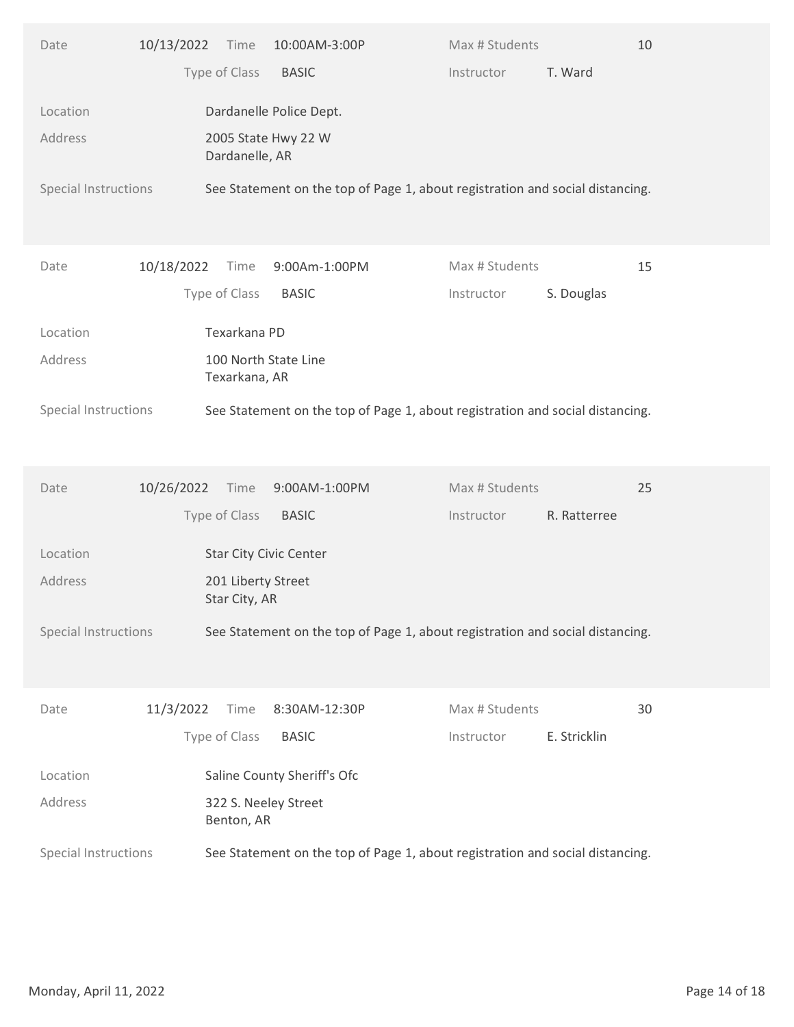| Type of Class<br><b>BASIC</b><br>T. Ward<br>Instructor<br>Dardanelle Police Dept.<br>Location<br>Address<br>2005 State Hwy 22 W<br>Dardanelle, AR<br>Special Instructions<br>See Statement on the top of Page 1, about registration and social distancing.<br>10/18/2022<br>Max # Students<br>15<br>Time<br>9:00Am-1:00PM<br>Date<br>Type of Class<br><b>BASIC</b><br>Instructor<br>S. Douglas<br>Texarkana PD<br>Location<br>Address<br>100 North State Line<br>Texarkana, AR<br>See Statement on the top of Page 1, about registration and social distancing.<br>Special Instructions<br>25<br>10/26/2022<br>9:00AM-1:00PM<br>Max # Students<br>Date<br>Time<br>Type of Class<br><b>BASIC</b><br>R. Ratterree<br>Instructor<br>Location<br>Star City Civic Center<br>Address<br>201 Liberty Street<br>Star City, AR<br>Special Instructions<br>See Statement on the top of Page 1, about registration and social distancing.<br>11/3/2022<br>Max # Students<br>30<br>Time<br>8:30AM-12:30P<br>Date<br>Type of Class<br>E. Stricklin<br><b>BASIC</b><br>Instructor<br>Saline County Sheriff's Ofc<br>Location<br>Address<br>322 S. Neeley Street<br>Benton, AR<br>Special Instructions<br>See Statement on the top of Page 1, about registration and social distancing.<br>Monday, April 11, 2022<br>Page 14 of 18 | 10/13/2022<br>Date | 10:00AM-3:00P<br>Time | Max # Students<br>10 |  |
|---------------------------------------------------------------------------------------------------------------------------------------------------------------------------------------------------------------------------------------------------------------------------------------------------------------------------------------------------------------------------------------------------------------------------------------------------------------------------------------------------------------------------------------------------------------------------------------------------------------------------------------------------------------------------------------------------------------------------------------------------------------------------------------------------------------------------------------------------------------------------------------------------------------------------------------------------------------------------------------------------------------------------------------------------------------------------------------------------------------------------------------------------------------------------------------------------------------------------------------------------------------------------------------------------------------------|--------------------|-----------------------|----------------------|--|
|                                                                                                                                                                                                                                                                                                                                                                                                                                                                                                                                                                                                                                                                                                                                                                                                                                                                                                                                                                                                                                                                                                                                                                                                                                                                                                                     |                    |                       |                      |  |
|                                                                                                                                                                                                                                                                                                                                                                                                                                                                                                                                                                                                                                                                                                                                                                                                                                                                                                                                                                                                                                                                                                                                                                                                                                                                                                                     |                    |                       |                      |  |
|                                                                                                                                                                                                                                                                                                                                                                                                                                                                                                                                                                                                                                                                                                                                                                                                                                                                                                                                                                                                                                                                                                                                                                                                                                                                                                                     |                    |                       |                      |  |
|                                                                                                                                                                                                                                                                                                                                                                                                                                                                                                                                                                                                                                                                                                                                                                                                                                                                                                                                                                                                                                                                                                                                                                                                                                                                                                                     |                    |                       |                      |  |
|                                                                                                                                                                                                                                                                                                                                                                                                                                                                                                                                                                                                                                                                                                                                                                                                                                                                                                                                                                                                                                                                                                                                                                                                                                                                                                                     |                    |                       |                      |  |
|                                                                                                                                                                                                                                                                                                                                                                                                                                                                                                                                                                                                                                                                                                                                                                                                                                                                                                                                                                                                                                                                                                                                                                                                                                                                                                                     |                    |                       |                      |  |
|                                                                                                                                                                                                                                                                                                                                                                                                                                                                                                                                                                                                                                                                                                                                                                                                                                                                                                                                                                                                                                                                                                                                                                                                                                                                                                                     |                    |                       |                      |  |
|                                                                                                                                                                                                                                                                                                                                                                                                                                                                                                                                                                                                                                                                                                                                                                                                                                                                                                                                                                                                                                                                                                                                                                                                                                                                                                                     |                    |                       |                      |  |
|                                                                                                                                                                                                                                                                                                                                                                                                                                                                                                                                                                                                                                                                                                                                                                                                                                                                                                                                                                                                                                                                                                                                                                                                                                                                                                                     |                    |                       |                      |  |
|                                                                                                                                                                                                                                                                                                                                                                                                                                                                                                                                                                                                                                                                                                                                                                                                                                                                                                                                                                                                                                                                                                                                                                                                                                                                                                                     |                    |                       |                      |  |
|                                                                                                                                                                                                                                                                                                                                                                                                                                                                                                                                                                                                                                                                                                                                                                                                                                                                                                                                                                                                                                                                                                                                                                                                                                                                                                                     |                    |                       |                      |  |
|                                                                                                                                                                                                                                                                                                                                                                                                                                                                                                                                                                                                                                                                                                                                                                                                                                                                                                                                                                                                                                                                                                                                                                                                                                                                                                                     |                    |                       |                      |  |
|                                                                                                                                                                                                                                                                                                                                                                                                                                                                                                                                                                                                                                                                                                                                                                                                                                                                                                                                                                                                                                                                                                                                                                                                                                                                                                                     |                    |                       |                      |  |
|                                                                                                                                                                                                                                                                                                                                                                                                                                                                                                                                                                                                                                                                                                                                                                                                                                                                                                                                                                                                                                                                                                                                                                                                                                                                                                                     |                    |                       |                      |  |
|                                                                                                                                                                                                                                                                                                                                                                                                                                                                                                                                                                                                                                                                                                                                                                                                                                                                                                                                                                                                                                                                                                                                                                                                                                                                                                                     |                    |                       |                      |  |
|                                                                                                                                                                                                                                                                                                                                                                                                                                                                                                                                                                                                                                                                                                                                                                                                                                                                                                                                                                                                                                                                                                                                                                                                                                                                                                                     |                    |                       |                      |  |
|                                                                                                                                                                                                                                                                                                                                                                                                                                                                                                                                                                                                                                                                                                                                                                                                                                                                                                                                                                                                                                                                                                                                                                                                                                                                                                                     |                    |                       |                      |  |
|                                                                                                                                                                                                                                                                                                                                                                                                                                                                                                                                                                                                                                                                                                                                                                                                                                                                                                                                                                                                                                                                                                                                                                                                                                                                                                                     |                    |                       |                      |  |
|                                                                                                                                                                                                                                                                                                                                                                                                                                                                                                                                                                                                                                                                                                                                                                                                                                                                                                                                                                                                                                                                                                                                                                                                                                                                                                                     |                    |                       |                      |  |
|                                                                                                                                                                                                                                                                                                                                                                                                                                                                                                                                                                                                                                                                                                                                                                                                                                                                                                                                                                                                                                                                                                                                                                                                                                                                                                                     |                    |                       |                      |  |
|                                                                                                                                                                                                                                                                                                                                                                                                                                                                                                                                                                                                                                                                                                                                                                                                                                                                                                                                                                                                                                                                                                                                                                                                                                                                                                                     |                    |                       |                      |  |
|                                                                                                                                                                                                                                                                                                                                                                                                                                                                                                                                                                                                                                                                                                                                                                                                                                                                                                                                                                                                                                                                                                                                                                                                                                                                                                                     |                    |                       |                      |  |
|                                                                                                                                                                                                                                                                                                                                                                                                                                                                                                                                                                                                                                                                                                                                                                                                                                                                                                                                                                                                                                                                                                                                                                                                                                                                                                                     |                    |                       |                      |  |
|                                                                                                                                                                                                                                                                                                                                                                                                                                                                                                                                                                                                                                                                                                                                                                                                                                                                                                                                                                                                                                                                                                                                                                                                                                                                                                                     |                    |                       |                      |  |
|                                                                                                                                                                                                                                                                                                                                                                                                                                                                                                                                                                                                                                                                                                                                                                                                                                                                                                                                                                                                                                                                                                                                                                                                                                                                                                                     |                    |                       |                      |  |
|                                                                                                                                                                                                                                                                                                                                                                                                                                                                                                                                                                                                                                                                                                                                                                                                                                                                                                                                                                                                                                                                                                                                                                                                                                                                                                                     |                    |                       |                      |  |
|                                                                                                                                                                                                                                                                                                                                                                                                                                                                                                                                                                                                                                                                                                                                                                                                                                                                                                                                                                                                                                                                                                                                                                                                                                                                                                                     |                    |                       |                      |  |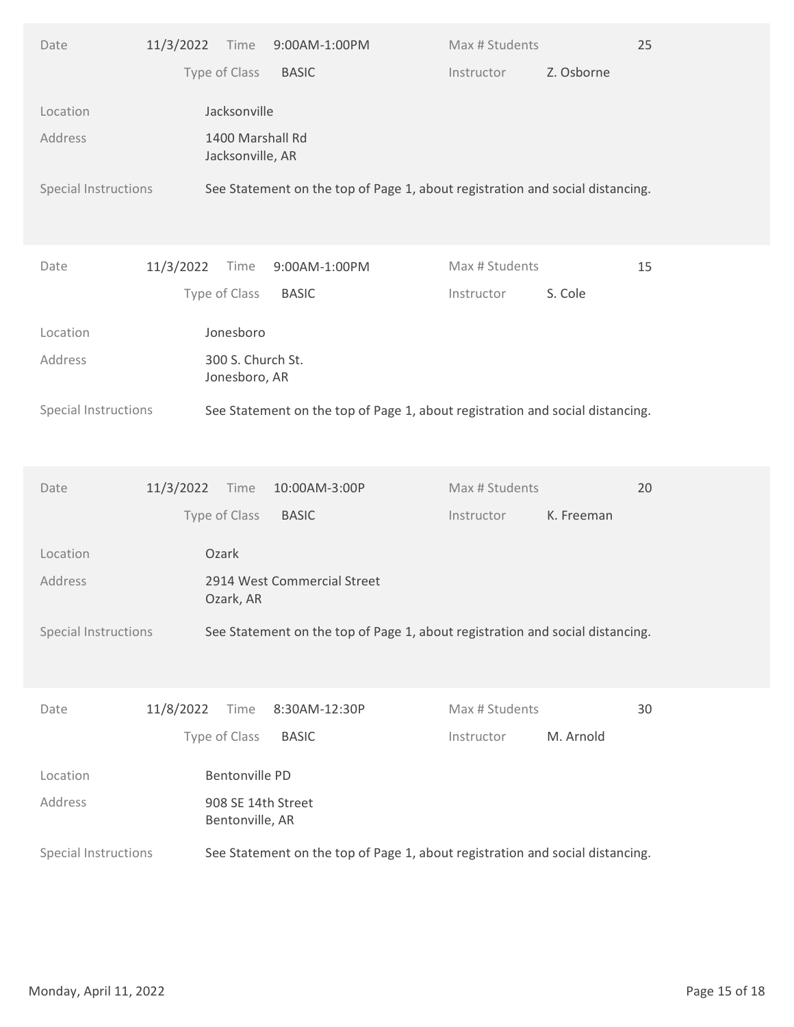| Type of Class<br>Z. Osborne<br><b>BASIC</b><br>Instructor<br>Jacksonville<br>Location<br>1400 Marshall Rd<br>Address<br>Jacksonville, AR<br>See Statement on the top of Page 1, about registration and social distancing.<br>Special Instructions<br>Max # Students<br>15<br>11/3/2022<br>Date<br>Time<br>9:00AM-1:00PM<br>Type of Class<br><b>BASIC</b><br>S. Cole<br>Instructor<br>Jonesboro<br>Location<br>300 S. Church St.<br>Address<br>Jonesboro, AR<br>See Statement on the top of Page 1, about registration and social distancing.<br>Special Instructions<br>Max # Students<br>20<br>11/3/2022<br>10:00AM-3:00P<br>Date<br>Time<br>Type of Class<br><b>BASIC</b><br>K. Freeman<br>Instructor<br>Ozark<br>Location<br>Address<br>2914 West Commercial Street<br>Ozark, AR<br>Special Instructions<br>See Statement on the top of Page 1, about registration and social distancing.<br>11/8/2022<br>Max # Students<br>30<br>Time<br>8:30AM-12:30P<br>Date<br>Type of Class<br>M. Arnold<br><b>BASIC</b><br>Instructor<br>Bentonville PD<br>Location<br>908 SE 14th Street<br>Address<br>Bentonville, AR<br>Special Instructions<br>See Statement on the top of Page 1, about registration and social distancing. | Date | 11/3/2022 | Time | 9:00AM-1:00PM | Max # Students | 25 |  |
|---------------------------------------------------------------------------------------------------------------------------------------------------------------------------------------------------------------------------------------------------------------------------------------------------------------------------------------------------------------------------------------------------------------------------------------------------------------------------------------------------------------------------------------------------------------------------------------------------------------------------------------------------------------------------------------------------------------------------------------------------------------------------------------------------------------------------------------------------------------------------------------------------------------------------------------------------------------------------------------------------------------------------------------------------------------------------------------------------------------------------------------------------------------------------------------------------------------------------|------|-----------|------|---------------|----------------|----|--|
|                                                                                                                                                                                                                                                                                                                                                                                                                                                                                                                                                                                                                                                                                                                                                                                                                                                                                                                                                                                                                                                                                                                                                                                                                           |      |           |      |               |                |    |  |
|                                                                                                                                                                                                                                                                                                                                                                                                                                                                                                                                                                                                                                                                                                                                                                                                                                                                                                                                                                                                                                                                                                                                                                                                                           |      |           |      |               |                |    |  |
|                                                                                                                                                                                                                                                                                                                                                                                                                                                                                                                                                                                                                                                                                                                                                                                                                                                                                                                                                                                                                                                                                                                                                                                                                           |      |           |      |               |                |    |  |
|                                                                                                                                                                                                                                                                                                                                                                                                                                                                                                                                                                                                                                                                                                                                                                                                                                                                                                                                                                                                                                                                                                                                                                                                                           |      |           |      |               |                |    |  |
|                                                                                                                                                                                                                                                                                                                                                                                                                                                                                                                                                                                                                                                                                                                                                                                                                                                                                                                                                                                                                                                                                                                                                                                                                           |      |           |      |               |                |    |  |
|                                                                                                                                                                                                                                                                                                                                                                                                                                                                                                                                                                                                                                                                                                                                                                                                                                                                                                                                                                                                                                                                                                                                                                                                                           |      |           |      |               |                |    |  |
|                                                                                                                                                                                                                                                                                                                                                                                                                                                                                                                                                                                                                                                                                                                                                                                                                                                                                                                                                                                                                                                                                                                                                                                                                           |      |           |      |               |                |    |  |
|                                                                                                                                                                                                                                                                                                                                                                                                                                                                                                                                                                                                                                                                                                                                                                                                                                                                                                                                                                                                                                                                                                                                                                                                                           |      |           |      |               |                |    |  |
|                                                                                                                                                                                                                                                                                                                                                                                                                                                                                                                                                                                                                                                                                                                                                                                                                                                                                                                                                                                                                                                                                                                                                                                                                           |      |           |      |               |                |    |  |
|                                                                                                                                                                                                                                                                                                                                                                                                                                                                                                                                                                                                                                                                                                                                                                                                                                                                                                                                                                                                                                                                                                                                                                                                                           |      |           |      |               |                |    |  |
|                                                                                                                                                                                                                                                                                                                                                                                                                                                                                                                                                                                                                                                                                                                                                                                                                                                                                                                                                                                                                                                                                                                                                                                                                           |      |           |      |               |                |    |  |
|                                                                                                                                                                                                                                                                                                                                                                                                                                                                                                                                                                                                                                                                                                                                                                                                                                                                                                                                                                                                                                                                                                                                                                                                                           |      |           |      |               |                |    |  |
|                                                                                                                                                                                                                                                                                                                                                                                                                                                                                                                                                                                                                                                                                                                                                                                                                                                                                                                                                                                                                                                                                                                                                                                                                           |      |           |      |               |                |    |  |
|                                                                                                                                                                                                                                                                                                                                                                                                                                                                                                                                                                                                                                                                                                                                                                                                                                                                                                                                                                                                                                                                                                                                                                                                                           |      |           |      |               |                |    |  |
|                                                                                                                                                                                                                                                                                                                                                                                                                                                                                                                                                                                                                                                                                                                                                                                                                                                                                                                                                                                                                                                                                                                                                                                                                           |      |           |      |               |                |    |  |
|                                                                                                                                                                                                                                                                                                                                                                                                                                                                                                                                                                                                                                                                                                                                                                                                                                                                                                                                                                                                                                                                                                                                                                                                                           |      |           |      |               |                |    |  |
|                                                                                                                                                                                                                                                                                                                                                                                                                                                                                                                                                                                                                                                                                                                                                                                                                                                                                                                                                                                                                                                                                                                                                                                                                           |      |           |      |               |                |    |  |
|                                                                                                                                                                                                                                                                                                                                                                                                                                                                                                                                                                                                                                                                                                                                                                                                                                                                                                                                                                                                                                                                                                                                                                                                                           |      |           |      |               |                |    |  |
|                                                                                                                                                                                                                                                                                                                                                                                                                                                                                                                                                                                                                                                                                                                                                                                                                                                                                                                                                                                                                                                                                                                                                                                                                           |      |           |      |               |                |    |  |
|                                                                                                                                                                                                                                                                                                                                                                                                                                                                                                                                                                                                                                                                                                                                                                                                                                                                                                                                                                                                                                                                                                                                                                                                                           |      |           |      |               |                |    |  |
|                                                                                                                                                                                                                                                                                                                                                                                                                                                                                                                                                                                                                                                                                                                                                                                                                                                                                                                                                                                                                                                                                                                                                                                                                           |      |           |      |               |                |    |  |
|                                                                                                                                                                                                                                                                                                                                                                                                                                                                                                                                                                                                                                                                                                                                                                                                                                                                                                                                                                                                                                                                                                                                                                                                                           |      |           |      |               |                |    |  |
|                                                                                                                                                                                                                                                                                                                                                                                                                                                                                                                                                                                                                                                                                                                                                                                                                                                                                                                                                                                                                                                                                                                                                                                                                           |      |           |      |               |                |    |  |
|                                                                                                                                                                                                                                                                                                                                                                                                                                                                                                                                                                                                                                                                                                                                                                                                                                                                                                                                                                                                                                                                                                                                                                                                                           |      |           |      |               |                |    |  |
| Monday, April 11, 2022<br>Page 15 of 18                                                                                                                                                                                                                                                                                                                                                                                                                                                                                                                                                                                                                                                                                                                                                                                                                                                                                                                                                                                                                                                                                                                                                                                   |      |           |      |               |                |    |  |
|                                                                                                                                                                                                                                                                                                                                                                                                                                                                                                                                                                                                                                                                                                                                                                                                                                                                                                                                                                                                                                                                                                                                                                                                                           |      |           |      |               |                |    |  |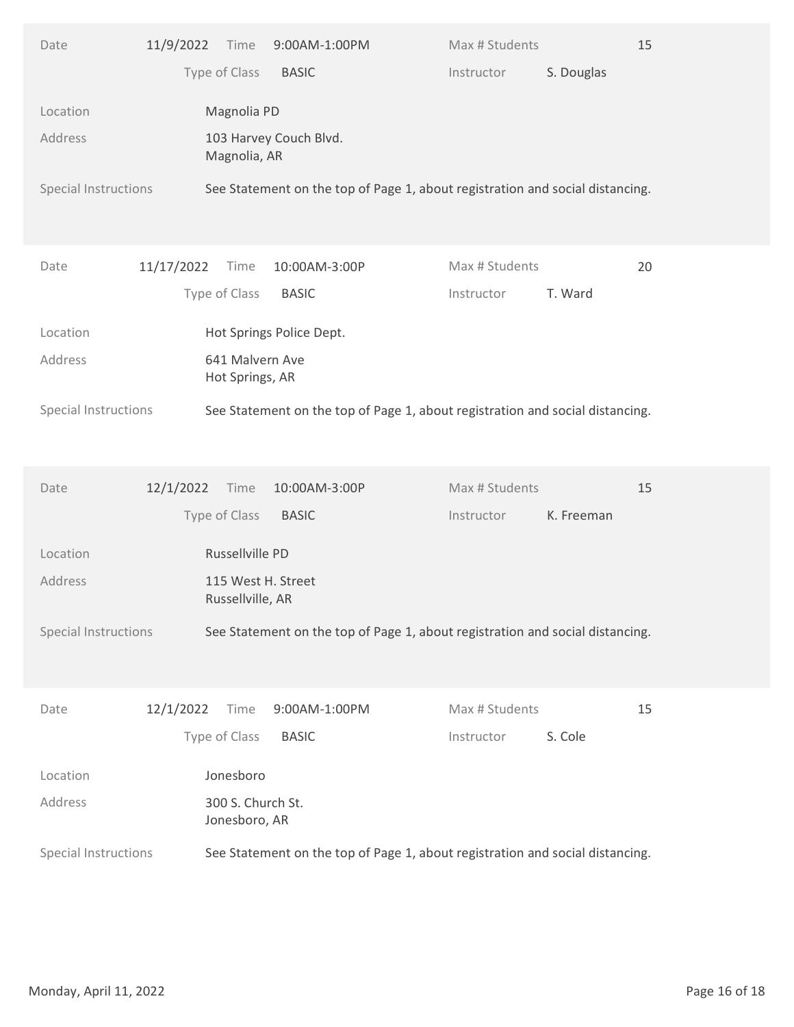| Type of Class<br>S. Douglas<br><b>BASIC</b><br>Instructor<br>Magnolia PD<br>Location<br>Address<br>103 Harvey Couch Blvd.<br>Magnolia, AR<br>Special Instructions<br>See Statement on the top of Page 1, about registration and social distancing.<br>11/17/2022<br>Max # Students<br>20<br>Time<br>10:00AM-3:00P<br>Date<br>Type of Class<br><b>BASIC</b><br>T. Ward<br>Instructor<br>Hot Springs Police Dept.<br>Location<br>Address<br>641 Malvern Ave<br>Hot Springs, AR<br>See Statement on the top of Page 1, about registration and social distancing.<br>Special Instructions<br>15<br>12/1/2022<br>10:00AM-3:00P<br>Max # Students<br>Date<br>Time<br>Type of Class<br><b>BASIC</b><br>Instructor<br>K. Freeman<br>Russellville PD<br>Location<br>Address<br>115 West H. Street<br>Russellville, AR<br>Special Instructions<br>See Statement on the top of Page 1, about registration and social distancing.<br>12/1/2022<br>Max # Students<br>15<br>Time<br>9:00AM-1:00PM<br>Date<br>Type of Class<br>S. Cole<br><b>BASIC</b><br>Instructor<br>Jonesboro<br>Location<br>Address<br>300 S. Church St.<br>Jonesboro, AR<br>Special Instructions<br>See Statement on the top of Page 1, about registration and social distancing.<br>Monday, April 11, 2022<br>Page 16 of 18 | 11/9/2022<br>Date | Time<br>9:00AM-1:00PM | Max # Students | 15 |
|-------------------------------------------------------------------------------------------------------------------------------------------------------------------------------------------------------------------------------------------------------------------------------------------------------------------------------------------------------------------------------------------------------------------------------------------------------------------------------------------------------------------------------------------------------------------------------------------------------------------------------------------------------------------------------------------------------------------------------------------------------------------------------------------------------------------------------------------------------------------------------------------------------------------------------------------------------------------------------------------------------------------------------------------------------------------------------------------------------------------------------------------------------------------------------------------------------------------------------------------------------------------------------------|-------------------|-----------------------|----------------|----|
|                                                                                                                                                                                                                                                                                                                                                                                                                                                                                                                                                                                                                                                                                                                                                                                                                                                                                                                                                                                                                                                                                                                                                                                                                                                                                     |                   |                       |                |    |
|                                                                                                                                                                                                                                                                                                                                                                                                                                                                                                                                                                                                                                                                                                                                                                                                                                                                                                                                                                                                                                                                                                                                                                                                                                                                                     |                   |                       |                |    |
|                                                                                                                                                                                                                                                                                                                                                                                                                                                                                                                                                                                                                                                                                                                                                                                                                                                                                                                                                                                                                                                                                                                                                                                                                                                                                     |                   |                       |                |    |
|                                                                                                                                                                                                                                                                                                                                                                                                                                                                                                                                                                                                                                                                                                                                                                                                                                                                                                                                                                                                                                                                                                                                                                                                                                                                                     |                   |                       |                |    |
|                                                                                                                                                                                                                                                                                                                                                                                                                                                                                                                                                                                                                                                                                                                                                                                                                                                                                                                                                                                                                                                                                                                                                                                                                                                                                     |                   |                       |                |    |
|                                                                                                                                                                                                                                                                                                                                                                                                                                                                                                                                                                                                                                                                                                                                                                                                                                                                                                                                                                                                                                                                                                                                                                                                                                                                                     |                   |                       |                |    |
|                                                                                                                                                                                                                                                                                                                                                                                                                                                                                                                                                                                                                                                                                                                                                                                                                                                                                                                                                                                                                                                                                                                                                                                                                                                                                     |                   |                       |                |    |
|                                                                                                                                                                                                                                                                                                                                                                                                                                                                                                                                                                                                                                                                                                                                                                                                                                                                                                                                                                                                                                                                                                                                                                                                                                                                                     |                   |                       |                |    |
|                                                                                                                                                                                                                                                                                                                                                                                                                                                                                                                                                                                                                                                                                                                                                                                                                                                                                                                                                                                                                                                                                                                                                                                                                                                                                     |                   |                       |                |    |
|                                                                                                                                                                                                                                                                                                                                                                                                                                                                                                                                                                                                                                                                                                                                                                                                                                                                                                                                                                                                                                                                                                                                                                                                                                                                                     |                   |                       |                |    |
|                                                                                                                                                                                                                                                                                                                                                                                                                                                                                                                                                                                                                                                                                                                                                                                                                                                                                                                                                                                                                                                                                                                                                                                                                                                                                     |                   |                       |                |    |
|                                                                                                                                                                                                                                                                                                                                                                                                                                                                                                                                                                                                                                                                                                                                                                                                                                                                                                                                                                                                                                                                                                                                                                                                                                                                                     |                   |                       |                |    |
|                                                                                                                                                                                                                                                                                                                                                                                                                                                                                                                                                                                                                                                                                                                                                                                                                                                                                                                                                                                                                                                                                                                                                                                                                                                                                     |                   |                       |                |    |
|                                                                                                                                                                                                                                                                                                                                                                                                                                                                                                                                                                                                                                                                                                                                                                                                                                                                                                                                                                                                                                                                                                                                                                                                                                                                                     |                   |                       |                |    |
|                                                                                                                                                                                                                                                                                                                                                                                                                                                                                                                                                                                                                                                                                                                                                                                                                                                                                                                                                                                                                                                                                                                                                                                                                                                                                     |                   |                       |                |    |
|                                                                                                                                                                                                                                                                                                                                                                                                                                                                                                                                                                                                                                                                                                                                                                                                                                                                                                                                                                                                                                                                                                                                                                                                                                                                                     |                   |                       |                |    |
|                                                                                                                                                                                                                                                                                                                                                                                                                                                                                                                                                                                                                                                                                                                                                                                                                                                                                                                                                                                                                                                                                                                                                                                                                                                                                     |                   |                       |                |    |
|                                                                                                                                                                                                                                                                                                                                                                                                                                                                                                                                                                                                                                                                                                                                                                                                                                                                                                                                                                                                                                                                                                                                                                                                                                                                                     |                   |                       |                |    |
|                                                                                                                                                                                                                                                                                                                                                                                                                                                                                                                                                                                                                                                                                                                                                                                                                                                                                                                                                                                                                                                                                                                                                                                                                                                                                     |                   |                       |                |    |
|                                                                                                                                                                                                                                                                                                                                                                                                                                                                                                                                                                                                                                                                                                                                                                                                                                                                                                                                                                                                                                                                                                                                                                                                                                                                                     |                   |                       |                |    |
|                                                                                                                                                                                                                                                                                                                                                                                                                                                                                                                                                                                                                                                                                                                                                                                                                                                                                                                                                                                                                                                                                                                                                                                                                                                                                     |                   |                       |                |    |
|                                                                                                                                                                                                                                                                                                                                                                                                                                                                                                                                                                                                                                                                                                                                                                                                                                                                                                                                                                                                                                                                                                                                                                                                                                                                                     |                   |                       |                |    |
|                                                                                                                                                                                                                                                                                                                                                                                                                                                                                                                                                                                                                                                                                                                                                                                                                                                                                                                                                                                                                                                                                                                                                                                                                                                                                     |                   |                       |                |    |
|                                                                                                                                                                                                                                                                                                                                                                                                                                                                                                                                                                                                                                                                                                                                                                                                                                                                                                                                                                                                                                                                                                                                                                                                                                                                                     |                   |                       |                |    |
|                                                                                                                                                                                                                                                                                                                                                                                                                                                                                                                                                                                                                                                                                                                                                                                                                                                                                                                                                                                                                                                                                                                                                                                                                                                                                     |                   |                       |                |    |
|                                                                                                                                                                                                                                                                                                                                                                                                                                                                                                                                                                                                                                                                                                                                                                                                                                                                                                                                                                                                                                                                                                                                                                                                                                                                                     |                   |                       |                |    |
|                                                                                                                                                                                                                                                                                                                                                                                                                                                                                                                                                                                                                                                                                                                                                                                                                                                                                                                                                                                                                                                                                                                                                                                                                                                                                     |                   |                       |                |    |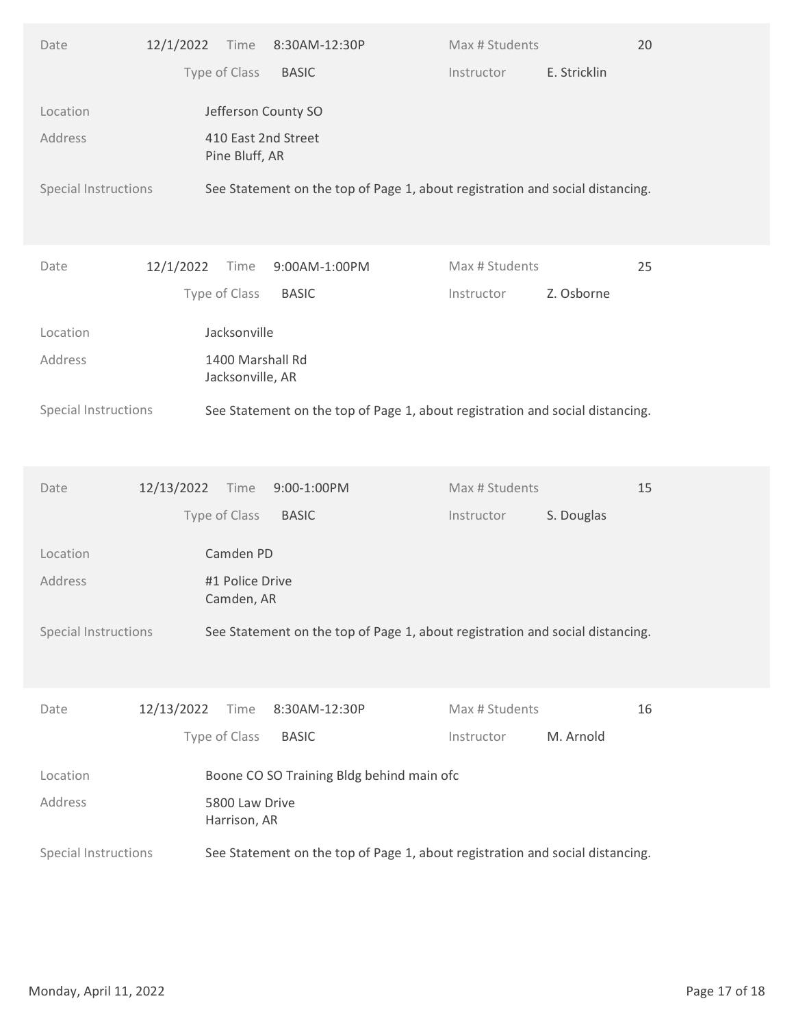| Type of Class<br>E. Stricklin<br><b>BASIC</b><br>Instructor<br>Jefferson County SO<br>Location<br>410 East 2nd Street<br>Address<br>Pine Bluff, AR<br>Special Instructions<br>See Statement on the top of Page 1, about registration and social distancing.<br>12/1/2022<br>Max # Students<br>25<br>Time<br>9:00AM-1:00PM<br>Date<br>Type of Class<br><b>BASIC</b><br>Z. Osborne<br>Instructor<br>Jacksonville<br>Location<br>Address<br>1400 Marshall Rd<br>Jacksonville, AR<br>See Statement on the top of Page 1, about registration and social distancing.<br>Special Instructions<br>15<br>12/13/2022<br>9:00-1:00PM<br>Max # Students<br>Date<br>Time<br>Type of Class<br><b>BASIC</b><br>S. Douglas<br>Instructor<br>Location<br>Camden PD<br>Address<br>#1 Police Drive<br>Camden, AR<br>Special Instructions<br>See Statement on the top of Page 1, about registration and social distancing.<br>12/13/2022<br>Max # Students<br>16<br>Time<br>8:30AM-12:30P<br>Date<br>Type of Class<br>M. Arnold<br><b>BASIC</b><br>Instructor<br>Boone CO SO Training Bldg behind main ofc<br>Location<br>Address<br>5800 Law Drive<br>Harrison, AR<br>Special Instructions<br>See Statement on the top of Page 1, about registration and social distancing.<br>Page 17 of 18<br>Monday, April 11, 2022 | Date | 12/1/2022<br>Time<br>8:30AM-12:30P | Max # Students | 20 |
|-----------------------------------------------------------------------------------------------------------------------------------------------------------------------------------------------------------------------------------------------------------------------------------------------------------------------------------------------------------------------------------------------------------------------------------------------------------------------------------------------------------------------------------------------------------------------------------------------------------------------------------------------------------------------------------------------------------------------------------------------------------------------------------------------------------------------------------------------------------------------------------------------------------------------------------------------------------------------------------------------------------------------------------------------------------------------------------------------------------------------------------------------------------------------------------------------------------------------------------------------------------------------------------------------------|------|------------------------------------|----------------|----|
|                                                                                                                                                                                                                                                                                                                                                                                                                                                                                                                                                                                                                                                                                                                                                                                                                                                                                                                                                                                                                                                                                                                                                                                                                                                                                                     |      |                                    |                |    |
|                                                                                                                                                                                                                                                                                                                                                                                                                                                                                                                                                                                                                                                                                                                                                                                                                                                                                                                                                                                                                                                                                                                                                                                                                                                                                                     |      |                                    |                |    |
|                                                                                                                                                                                                                                                                                                                                                                                                                                                                                                                                                                                                                                                                                                                                                                                                                                                                                                                                                                                                                                                                                                                                                                                                                                                                                                     |      |                                    |                |    |
|                                                                                                                                                                                                                                                                                                                                                                                                                                                                                                                                                                                                                                                                                                                                                                                                                                                                                                                                                                                                                                                                                                                                                                                                                                                                                                     |      |                                    |                |    |
|                                                                                                                                                                                                                                                                                                                                                                                                                                                                                                                                                                                                                                                                                                                                                                                                                                                                                                                                                                                                                                                                                                                                                                                                                                                                                                     |      |                                    |                |    |
|                                                                                                                                                                                                                                                                                                                                                                                                                                                                                                                                                                                                                                                                                                                                                                                                                                                                                                                                                                                                                                                                                                                                                                                                                                                                                                     |      |                                    |                |    |
|                                                                                                                                                                                                                                                                                                                                                                                                                                                                                                                                                                                                                                                                                                                                                                                                                                                                                                                                                                                                                                                                                                                                                                                                                                                                                                     |      |                                    |                |    |
|                                                                                                                                                                                                                                                                                                                                                                                                                                                                                                                                                                                                                                                                                                                                                                                                                                                                                                                                                                                                                                                                                                                                                                                                                                                                                                     |      |                                    |                |    |
|                                                                                                                                                                                                                                                                                                                                                                                                                                                                                                                                                                                                                                                                                                                                                                                                                                                                                                                                                                                                                                                                                                                                                                                                                                                                                                     |      |                                    |                |    |
|                                                                                                                                                                                                                                                                                                                                                                                                                                                                                                                                                                                                                                                                                                                                                                                                                                                                                                                                                                                                                                                                                                                                                                                                                                                                                                     |      |                                    |                |    |
|                                                                                                                                                                                                                                                                                                                                                                                                                                                                                                                                                                                                                                                                                                                                                                                                                                                                                                                                                                                                                                                                                                                                                                                                                                                                                                     |      |                                    |                |    |
|                                                                                                                                                                                                                                                                                                                                                                                                                                                                                                                                                                                                                                                                                                                                                                                                                                                                                                                                                                                                                                                                                                                                                                                                                                                                                                     |      |                                    |                |    |
|                                                                                                                                                                                                                                                                                                                                                                                                                                                                                                                                                                                                                                                                                                                                                                                                                                                                                                                                                                                                                                                                                                                                                                                                                                                                                                     |      |                                    |                |    |
|                                                                                                                                                                                                                                                                                                                                                                                                                                                                                                                                                                                                                                                                                                                                                                                                                                                                                                                                                                                                                                                                                                                                                                                                                                                                                                     |      |                                    |                |    |
|                                                                                                                                                                                                                                                                                                                                                                                                                                                                                                                                                                                                                                                                                                                                                                                                                                                                                                                                                                                                                                                                                                                                                                                                                                                                                                     |      |                                    |                |    |
|                                                                                                                                                                                                                                                                                                                                                                                                                                                                                                                                                                                                                                                                                                                                                                                                                                                                                                                                                                                                                                                                                                                                                                                                                                                                                                     |      |                                    |                |    |
|                                                                                                                                                                                                                                                                                                                                                                                                                                                                                                                                                                                                                                                                                                                                                                                                                                                                                                                                                                                                                                                                                                                                                                                                                                                                                                     |      |                                    |                |    |
|                                                                                                                                                                                                                                                                                                                                                                                                                                                                                                                                                                                                                                                                                                                                                                                                                                                                                                                                                                                                                                                                                                                                                                                                                                                                                                     |      |                                    |                |    |
|                                                                                                                                                                                                                                                                                                                                                                                                                                                                                                                                                                                                                                                                                                                                                                                                                                                                                                                                                                                                                                                                                                                                                                                                                                                                                                     |      |                                    |                |    |
|                                                                                                                                                                                                                                                                                                                                                                                                                                                                                                                                                                                                                                                                                                                                                                                                                                                                                                                                                                                                                                                                                                                                                                                                                                                                                                     |      |                                    |                |    |
|                                                                                                                                                                                                                                                                                                                                                                                                                                                                                                                                                                                                                                                                                                                                                                                                                                                                                                                                                                                                                                                                                                                                                                                                                                                                                                     |      |                                    |                |    |
|                                                                                                                                                                                                                                                                                                                                                                                                                                                                                                                                                                                                                                                                                                                                                                                                                                                                                                                                                                                                                                                                                                                                                                                                                                                                                                     |      |                                    |                |    |
|                                                                                                                                                                                                                                                                                                                                                                                                                                                                                                                                                                                                                                                                                                                                                                                                                                                                                                                                                                                                                                                                                                                                                                                                                                                                                                     |      |                                    |                |    |
|                                                                                                                                                                                                                                                                                                                                                                                                                                                                                                                                                                                                                                                                                                                                                                                                                                                                                                                                                                                                                                                                                                                                                                                                                                                                                                     |      |                                    |                |    |
|                                                                                                                                                                                                                                                                                                                                                                                                                                                                                                                                                                                                                                                                                                                                                                                                                                                                                                                                                                                                                                                                                                                                                                                                                                                                                                     |      |                                    |                |    |
|                                                                                                                                                                                                                                                                                                                                                                                                                                                                                                                                                                                                                                                                                                                                                                                                                                                                                                                                                                                                                                                                                                                                                                                                                                                                                                     |      |                                    |                |    |
|                                                                                                                                                                                                                                                                                                                                                                                                                                                                                                                                                                                                                                                                                                                                                                                                                                                                                                                                                                                                                                                                                                                                                                                                                                                                                                     |      |                                    |                |    |